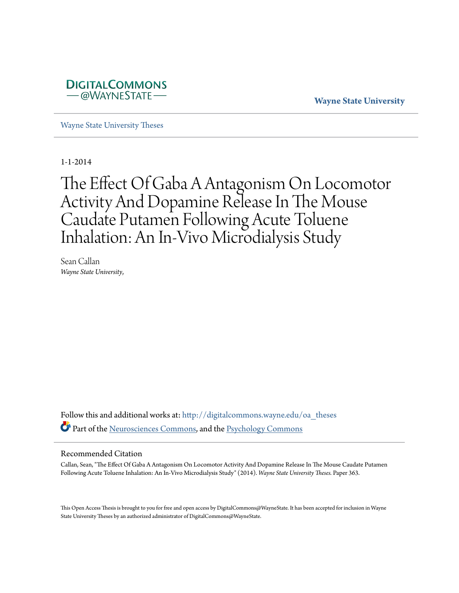

**Wayne State University**

[Wayne State University Theses](http://digitalcommons.wayne.edu/oa_theses?utm_source=digitalcommons.wayne.edu%2Foa_theses%2F363&utm_medium=PDF&utm_campaign=PDFCoverPages)

1-1-2014

# The Effect Of Gaba A Antagonism On Locomotor Activity And Dopamine Release In The Mouse Caudate Putamen Following Acute Toluene Inhalation: An In-Vivo Microdialysis Study

Sean Callan *Wayne State University*,

Follow this and additional works at: [http://digitalcommons.wayne.edu/oa\\_theses](http://digitalcommons.wayne.edu/oa_theses?utm_source=digitalcommons.wayne.edu%2Foa_theses%2F363&utm_medium=PDF&utm_campaign=PDFCoverPages) Part of the [Neurosciences Commons,](http://network.bepress.com/hgg/discipline/1010?utm_source=digitalcommons.wayne.edu%2Foa_theses%2F363&utm_medium=PDF&utm_campaign=PDFCoverPages) and the [Psychology Commons](http://network.bepress.com/hgg/discipline/404?utm_source=digitalcommons.wayne.edu%2Foa_theses%2F363&utm_medium=PDF&utm_campaign=PDFCoverPages)

#### Recommended Citation

Callan, Sean, "The Effect Of Gaba A Antagonism On Locomotor Activity And Dopamine Release In The Mouse Caudate Putamen Following Acute Toluene Inhalation: An In-Vivo Microdialysis Study" (2014). *Wayne State University Theses.* Paper 363.

This Open Access Thesis is brought to you for free and open access by DigitalCommons@WayneState. It has been accepted for inclusion in Wayne State University Theses by an authorized administrator of DigitalCommons@WayneState.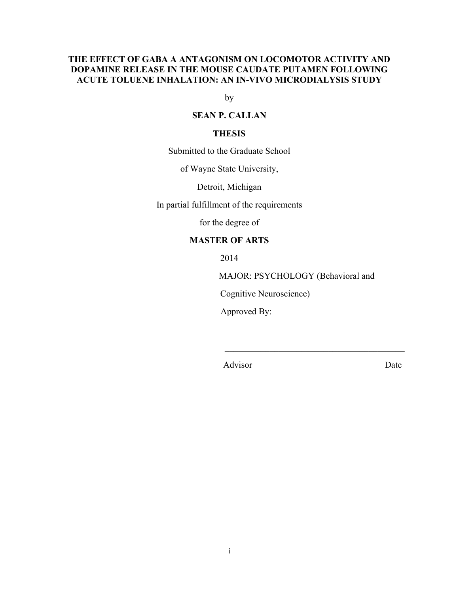# **THE EFFECT OF GABA A ANTAGONISM ON LOCOMOTOR ACTIVITY AND DOPAMINE RELEASE IN THE MOUSE CAUDATE PUTAMEN FOLLOWING ACUTE TOLUENE INHALATION: AN IN-VIVO MICRODIALYSIS STUDY**

by

## **SEAN P. CALLAN**

#### **THESIS**

Submitted to the Graduate School

of Wayne State University,

Detroit, Michigan

In partial fulfillment of the requirements

for the degree of

# **MASTER OF ARTS**

2014

MAJOR: PSYCHOLOGY (Behavioral and

\_\_\_\_\_\_\_\_\_\_\_\_\_\_\_\_\_\_\_\_\_\_\_\_\_\_\_\_\_\_\_\_\_\_\_\_\_\_\_\_

Cognitive Neuroscience)

Approved By:

Advisor Date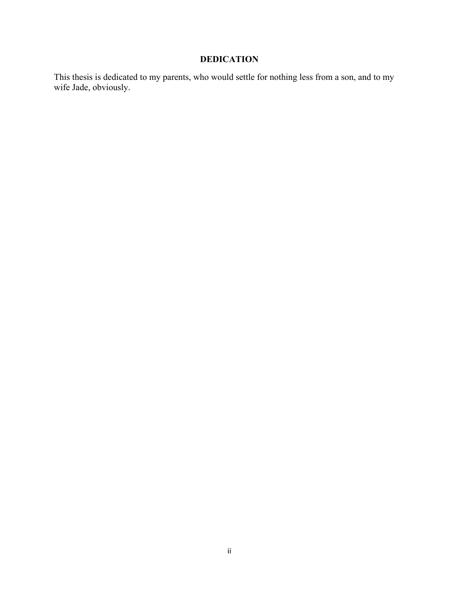# **DEDICATION**

This thesis is dedicated to my parents, who would settle for nothing less from a son, and to my wife Jade, obviously.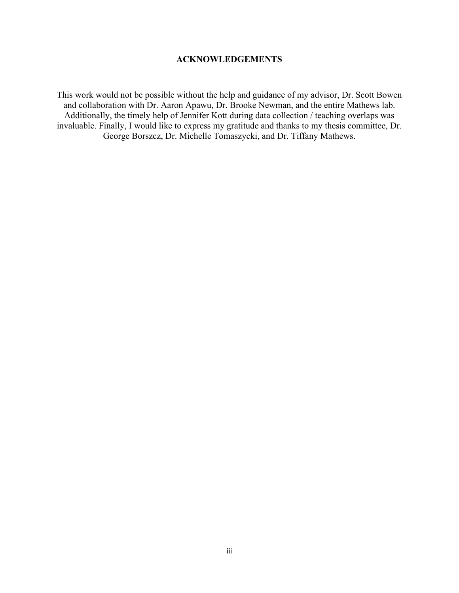# **ACKNOWLEDGEMENTS**

This work would not be possible without the help and guidance of my advisor, Dr. Scott Bowen and collaboration with Dr. Aaron Apawu, Dr. Brooke Newman, and the entire Mathews lab. Additionally, the timely help of Jennifer Kott during data collection / teaching overlaps was invaluable. Finally, I would like to express my gratitude and thanks to my thesis committee, Dr. George Borszcz, Dr. Michelle Tomaszycki, and Dr. Tiffany Mathews.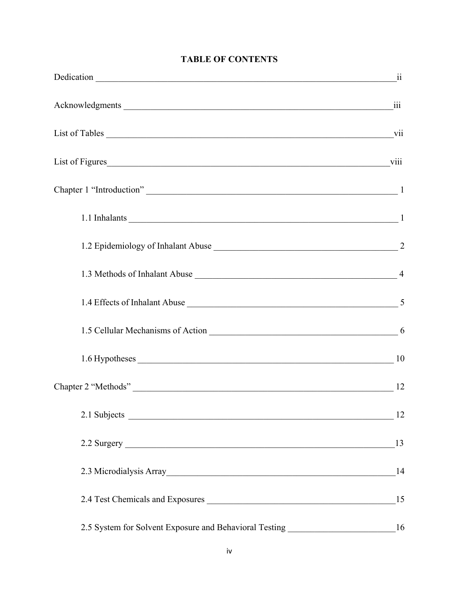| Chapter 1 "Introduction" 1                                                                                                                                                                                                     |    |
|--------------------------------------------------------------------------------------------------------------------------------------------------------------------------------------------------------------------------------|----|
| 1.1 Inhalants 1                                                                                                                                                                                                                |    |
| 1.2 Epidemiology of Inhalant Abuse 22                                                                                                                                                                                          |    |
|                                                                                                                                                                                                                                |    |
| 1.4 Effects of Inhalant Abuse 1.4 Effects of Inhalant Abuse                                                                                                                                                                    |    |
| 1.5 Cellular Mechanisms of Action 1.5 Cellular Mechanisms of Action 1.5 Cellular Mechanisms of Action 1.5 Cellular 1.5 Cellular Mechanisms of Action 1.1 Cellular 1.1 Cellular 1.1 Cellular 1.1 Cellular 1.1 Cellular 1.1 Cell |    |
| 1.6 Hypotheses 1.6 hypotheses 2.10                                                                                                                                                                                             |    |
|                                                                                                                                                                                                                                |    |
|                                                                                                                                                                                                                                | 12 |
|                                                                                                                                                                                                                                | 13 |
| 2.3 Microdialysis Array                                                                                                                                                                                                        | 14 |
|                                                                                                                                                                                                                                | 15 |
| 2.5 System for Solvent Exposure and Behavioral Testing _________________________16                                                                                                                                             |    |

# **TABLE OF CONTENTS**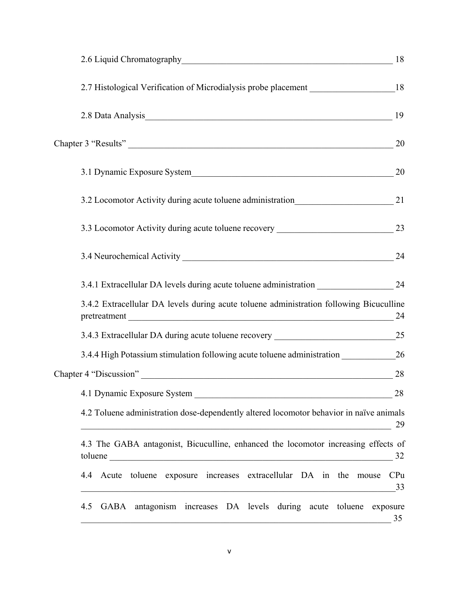| 2.7 Histological Verification of Microdialysis probe placement __________________18                                                                                                                                                                                                                                  |           |
|----------------------------------------------------------------------------------------------------------------------------------------------------------------------------------------------------------------------------------------------------------------------------------------------------------------------|-----------|
| 2.8 Data Analysis 19                                                                                                                                                                                                                                                                                                 |           |
| Chapter 3 "Results" 20                                                                                                                                                                                                                                                                                               |           |
|                                                                                                                                                                                                                                                                                                                      |           |
|                                                                                                                                                                                                                                                                                                                      |           |
| 3.3 Locomotor Activity during acute toluene recovery ____________________________ 23                                                                                                                                                                                                                                 |           |
| 3.4 Neurochemical Activity 24                                                                                                                                                                                                                                                                                        |           |
|                                                                                                                                                                                                                                                                                                                      |           |
| 3.4.2 Extracellular DA levels during acute toluene administration following Bicuculline<br>pretreatment 24                                                                                                                                                                                                           |           |
|                                                                                                                                                                                                                                                                                                                      |           |
|                                                                                                                                                                                                                                                                                                                      |           |
|                                                                                                                                                                                                                                                                                                                      | 28        |
| 4.1 Dynamic Exposure System<br><u> 2000 - 2000 - 2000 - 2000 - 2000 - 2000 - 2000 - 2000 - 2000 - 2000 - 2000 - 2000 - 2000 - 2000 - 2000 - 200</u>                                                                                                                                                                  | 28        |
| 4.2 Toluene administration dose-dependently altered locomotor behavior in naïve animals<br><u> 1989 - Johann John Stein, marwolaethau (b. 1989)</u>                                                                                                                                                                  | 29        |
| 4.3 The GABA antagonist, Bicuculline, enhanced the locomotor increasing effects of<br>toluene et al. and the contract of the contract of the contract of the contract of the contract of the contract of the contract of the contract of the contract of the contract of the contract of the contract of the contrac | 32        |
| 4.4 Acute toluene exposure increases extracellular DA in the mouse<br><u> 1989 - Johann Stoff, Amerikaansk politiker († 1908)</u>                                                                                                                                                                                    | CPu<br>33 |
| GABA antagonism increases DA levels during acute toluene exposure<br>4.5<br><u> 1989 - Johann Barn, fransk politik formuler (d. 1989)</u>                                                                                                                                                                            | 35        |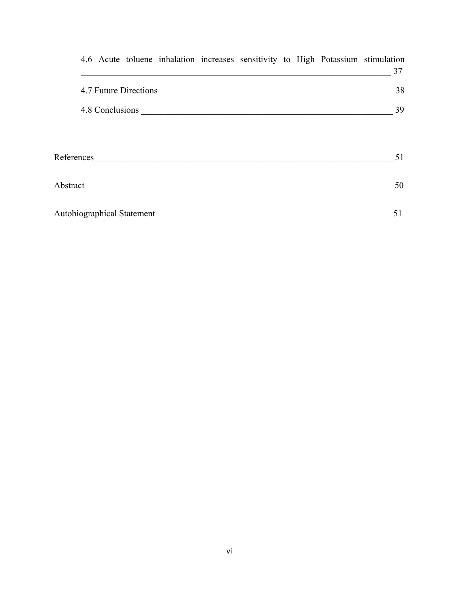|  |                            |            |                       |  | 4.6 Acute toluene inhalation increases sensitivity to High Potassium stimulation |
|--|----------------------------|------------|-----------------------|--|----------------------------------------------------------------------------------|
|  |                            |            |                       |  | 37                                                                               |
|  |                            |            | 4.7 Future Directions |  | 38                                                                               |
|  |                            |            |                       |  | 39                                                                               |
|  |                            |            |                       |  | 51                                                                               |
|  |                            | References |                       |  |                                                                                  |
|  |                            | Abstract   |                       |  | 50                                                                               |
|  | Autobiographical Statement |            |                       |  | 51                                                                               |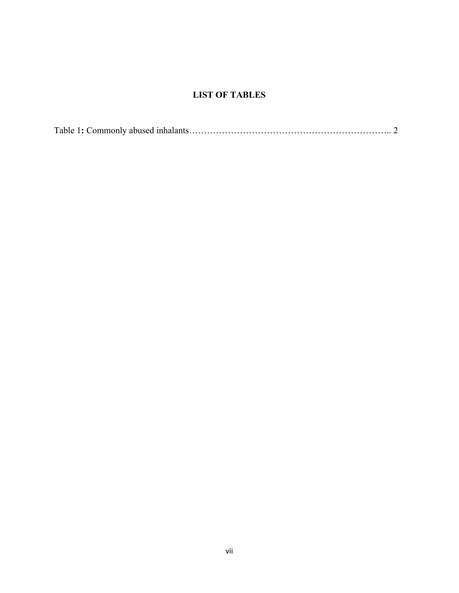# **LIST OF TABLES**

|--|--|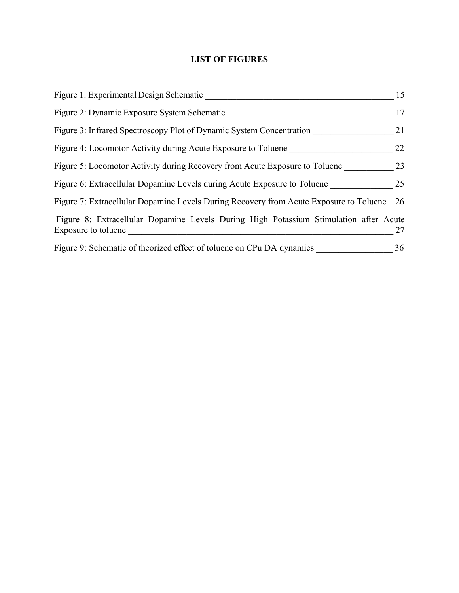# **LIST OF FIGURES**

| Figure 1: Experimental Design Schematic                                                                      | 15 |
|--------------------------------------------------------------------------------------------------------------|----|
| Figure 2: Dynamic Exposure System Schematic                                                                  | 17 |
| Figure 3: Infrared Spectroscopy Plot of Dynamic System Concentration                                         | 21 |
| Figure 4: Locomotor Activity during Acute Exposure to Toluene                                                | 22 |
| Figure 5: Locomotor Activity during Recovery from Acute Exposure to Toluene                                  | 23 |
| Figure 6: Extracellular Dopamine Levels during Acute Exposure to Toluene                                     | 25 |
| Figure 7: Extracellular Dopamine Levels During Recovery from Acute Exposure to Toluene 26                    |    |
| Figure 8: Extracellular Dopamine Levels During High Potassium Stimulation after Acute<br>Exposure to toluene | 27 |
| Figure 9: Schematic of theorized effect of toluene on CPu DA dynamics                                        | 36 |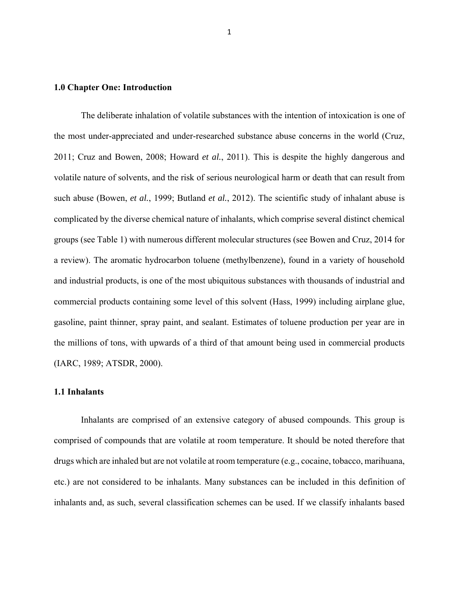#### **1.0 Chapter One: Introduction**

The deliberate inhalation of volatile substances with the intention of intoxication is one of the most under-appreciated and under-researched substance abuse concerns in the world (Cruz, 2011; Cruz and Bowen, 2008; Howard *et al.*, 2011). This is despite the highly dangerous and volatile nature of solvents, and the risk of serious neurological harm or death that can result from such abuse (Bowen, *et al.*, 1999; Butland *et al.*, 2012). The scientific study of inhalant abuse is complicated by the diverse chemical nature of inhalants, which comprise several distinct chemical groups (see Table 1) with numerous different molecular structures (see Bowen and Cruz, 2014 for a review). The aromatic hydrocarbon toluene (methylbenzene), found in a variety of household and industrial products, is one of the most ubiquitous substances with thousands of industrial and commercial products containing some level of this solvent (Hass, 1999) including airplane glue, gasoline, paint thinner, spray paint, and sealant. Estimates of toluene production per year are in the millions of tons, with upwards of a third of that amount being used in commercial products (IARC, 1989; ATSDR, 2000).

#### **1.1 Inhalants**

Inhalants are comprised of an extensive category of abused compounds. This group is comprised of compounds that are volatile at room temperature. It should be noted therefore that drugs which are inhaled but are not volatile at room temperature (e.g., cocaine, tobacco, marihuana, etc.) are not considered to be inhalants. Many substances can be included in this definition of inhalants and, as such, several classification schemes can be used. If we classify inhalants based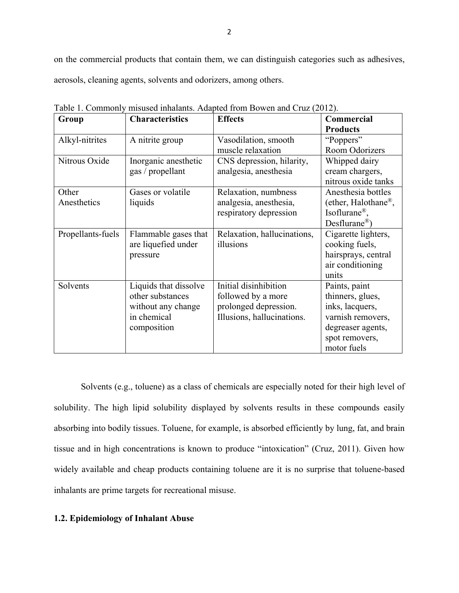on the commercial products that contain them, we can distinguish categories such as adhesives, aerosols, cleaning agents, solvents and odorizers, among others.

| Group             | <b>Characteristics</b> | <b>Effects</b>              | Commercial                       |
|-------------------|------------------------|-----------------------------|----------------------------------|
|                   |                        |                             | <b>Products</b>                  |
| Alkyl-nitrites    | A nitrite group        | Vasodilation, smooth        | "Poppers"                        |
|                   |                        | muscle relaxation           | Room Odorizers                   |
| Nitrous Oxide     | Inorganic anesthetic   | CNS depression, hilarity,   | Whipped dairy                    |
|                   | gas / propellant       | analgesia, anesthesia       | cream chargers,                  |
|                   |                        |                             | nitrous oxide tanks              |
| Other             | Gases or volatile      | Relaxation, numbness        | Anesthesia bottles               |
| Anesthetics       | liquids                | analgesia, anesthesia,      | (ether, Halothane <sup>®</sup> , |
|                   |                        | respiratory depression      | Isoflurane <sup>®</sup> ,        |
|                   |                        |                             | $Desflurane^{\circledR})$        |
| Propellants-fuels | Flammable gases that   | Relaxation, hallucinations, | Cigarette lighters,              |
|                   | are liquefied under    | illusions                   | cooking fuels,                   |
|                   | pressure               |                             | hairsprays, central              |
|                   |                        |                             | air conditioning                 |
|                   |                        |                             | units                            |
| Solvents          | Liquids that dissolve  | Initial disinhibition       | Paints, paint                    |
|                   | other substances       | followed by a more          | thinners, glues,                 |
|                   | without any change     | prolonged depression.       | inks, lacquers,                  |
|                   | in chemical            | Illusions, hallucinations.  | varnish removers,                |
|                   | composition            |                             | degreaser agents,                |
|                   |                        |                             | spot removers,                   |
|                   |                        |                             | motor fuels                      |

Table 1. Commonly misused inhalants. Adapted from Bowen and Cruz (2012).

Solvents (e.g., toluene) as a class of chemicals are especially noted for their high level of solubility. The high lipid solubility displayed by solvents results in these compounds easily absorbing into bodily tissues. Toluene, for example, is absorbed efficiently by lung, fat, and brain tissue and in high concentrations is known to produce "intoxication" (Cruz, 2011). Given how widely available and cheap products containing toluene are it is no surprise that toluene-based inhalants are prime targets for recreational misuse.

#### **1.2. Epidemiology of Inhalant Abuse**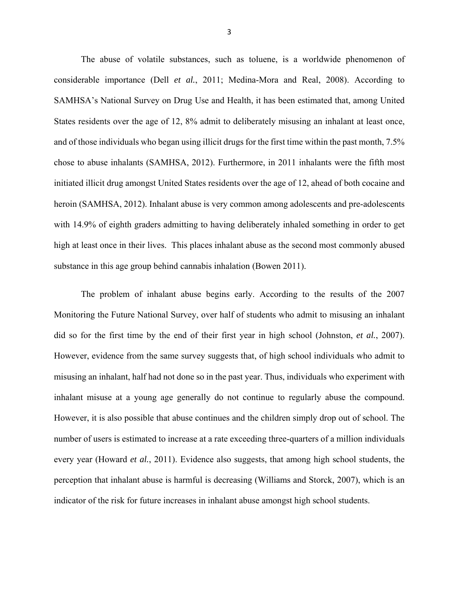The abuse of volatile substances, such as toluene, is a worldwide phenomenon of considerable importance (Dell *et al.*, 2011; Medina-Mora and Real, 2008). According to SAMHSA's National Survey on Drug Use and Health, it has been estimated that, among United States residents over the age of 12, 8% admit to deliberately misusing an inhalant at least once, and of those individuals who began using illicit drugs for the first time within the past month, 7.5% chose to abuse inhalants (SAMHSA, 2012). Furthermore, in 2011 inhalants were the fifth most initiated illicit drug amongst United States residents over the age of 12, ahead of both cocaine and heroin (SAMHSA, 2012). Inhalant abuse is very common among adolescents and pre-adolescents with 14.9% of eighth graders admitting to having deliberately inhaled something in order to get high at least once in their lives. This places inhalant abuse as the second most commonly abused substance in this age group behind cannabis inhalation (Bowen 2011).

The problem of inhalant abuse begins early. According to the results of the 2007 Monitoring the Future National Survey, over half of students who admit to misusing an inhalant did so for the first time by the end of their first year in high school (Johnston, *et al.*, 2007). However, evidence from the same survey suggests that, of high school individuals who admit to misusing an inhalant, half had not done so in the past year. Thus, individuals who experiment with inhalant misuse at a young age generally do not continue to regularly abuse the compound. However, it is also possible that abuse continues and the children simply drop out of school. The number of users is estimated to increase at a rate exceeding three-quarters of a million individuals every year (Howard *et al.*, 2011). Evidence also suggests, that among high school students, the perception that inhalant abuse is harmful is decreasing (Williams and Storck, 2007), which is an indicator of the risk for future increases in inhalant abuse amongst high school students.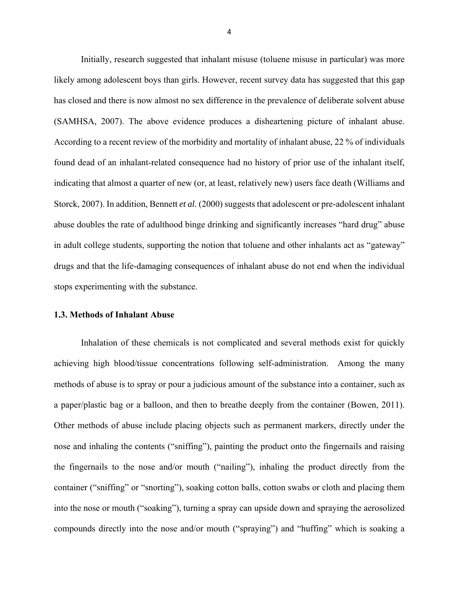Initially, research suggested that inhalant misuse (toluene misuse in particular) was more likely among adolescent boys than girls. However, recent survey data has suggested that this gap has closed and there is now almost no sex difference in the prevalence of deliberate solvent abuse (SAMHSA, 2007). The above evidence produces a disheartening picture of inhalant abuse. According to a recent review of the morbidity and mortality of inhalant abuse, 22 % of individuals found dead of an inhalant-related consequence had no history of prior use of the inhalant itself, indicating that almost a quarter of new (or, at least, relatively new) users face death (Williams and Storck, 2007). In addition, Bennett *et al.* (2000) suggests that adolescent or pre-adolescent inhalant abuse doubles the rate of adulthood binge drinking and significantly increases "hard drug" abuse in adult college students, supporting the notion that toluene and other inhalants act as "gateway" drugs and that the life-damaging consequences of inhalant abuse do not end when the individual stops experimenting with the substance.

#### **1.3. Methods of Inhalant Abuse**

Inhalation of these chemicals is not complicated and several methods exist for quickly achieving high blood/tissue concentrations following self-administration. Among the many methods of abuse is to spray or pour a judicious amount of the substance into a container, such as a paper/plastic bag or a balloon, and then to breathe deeply from the container (Bowen, 2011). Other methods of abuse include placing objects such as permanent markers, directly under the nose and inhaling the contents ("sniffing"), painting the product onto the fingernails and raising the fingernails to the nose and/or mouth ("nailing"), inhaling the product directly from the container ("sniffing" or "snorting"), soaking cotton balls, cotton swabs or cloth and placing them into the nose or mouth ("soaking"), turning a spray can upside down and spraying the aerosolized compounds directly into the nose and/or mouth ("spraying") and "huffing" which is soaking a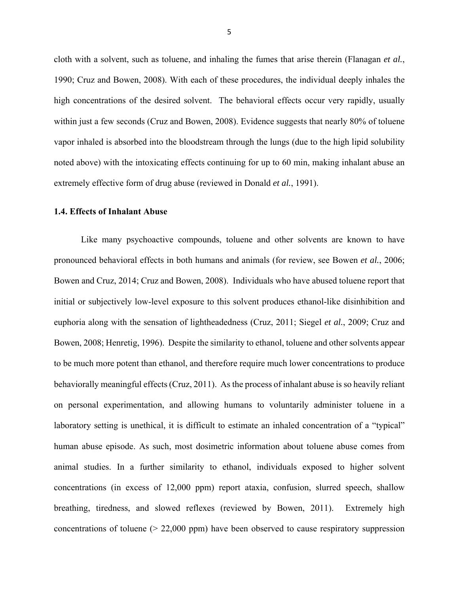cloth with a solvent, such as toluene, and inhaling the fumes that arise therein (Flanagan *et al.*, 1990; Cruz and Bowen, 2008). With each of these procedures, the individual deeply inhales the high concentrations of the desired solvent. The behavioral effects occur very rapidly, usually within just a few seconds (Cruz and Bowen, 2008). Evidence suggests that nearly 80% of toluene vapor inhaled is absorbed into the bloodstream through the lungs (due to the high lipid solubility noted above) with the intoxicating effects continuing for up to 60 min, making inhalant abuse an extremely effective form of drug abuse (reviewed in Donald *et al.*, 1991).

### **1.4. Effects of Inhalant Abuse**

Like many psychoactive compounds, toluene and other solvents are known to have pronounced behavioral effects in both humans and animals (for review, see Bowen *et al.*, 2006; Bowen and Cruz, 2014; Cruz and Bowen, 2008). Individuals who have abused toluene report that initial or subjectively low-level exposure to this solvent produces ethanol-like disinhibition and euphoria along with the sensation of lightheadedness (Cruz, 2011; Siegel *et al.*, 2009; Cruz and Bowen, 2008; Henretig, 1996). Despite the similarity to ethanol, toluene and other solvents appear to be much more potent than ethanol, and therefore require much lower concentrations to produce behaviorally meaningful effects (Cruz, 2011). As the process of inhalant abuse is so heavily reliant on personal experimentation, and allowing humans to voluntarily administer toluene in a laboratory setting is unethical, it is difficult to estimate an inhaled concentration of a "typical" human abuse episode. As such, most dosimetric information about toluene abuse comes from animal studies. In a further similarity to ethanol, individuals exposed to higher solvent concentrations (in excess of 12,000 ppm) report ataxia, confusion, slurred speech, shallow breathing, tiredness, and slowed reflexes (reviewed by Bowen, 2011). Extremely high concentrations of toluene (> 22,000 ppm) have been observed to cause respiratory suppression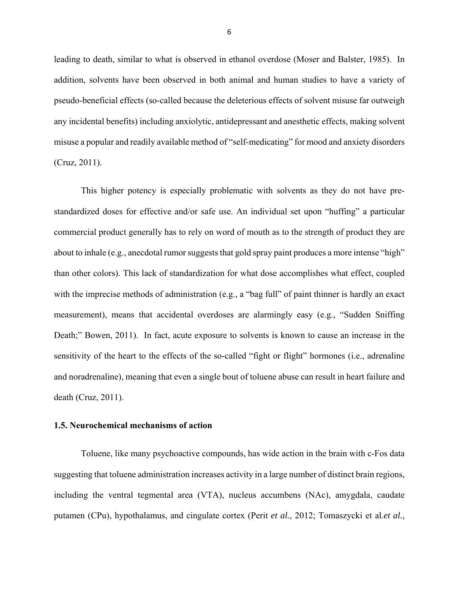leading to death, similar to what is observed in ethanol overdose (Moser and Balster, 1985). In addition, solvents have been observed in both animal and human studies to have a variety of pseudo-beneficial effects (so-called because the deleterious effects of solvent misuse far outweigh any incidental benefits) including anxiolytic, antidepressant and anesthetic effects, making solvent misuse a popular and readily available method of "self-medicating" for mood and anxiety disorders (Cruz, 2011).

This higher potency is especially problematic with solvents as they do not have prestandardized doses for effective and/or safe use. An individual set upon "huffing" a particular commercial product generally has to rely on word of mouth as to the strength of product they are about to inhale (e.g., anecdotal rumor suggests that gold spray paint produces a more intense "high" than other colors). This lack of standardization for what dose accomplishes what effect, coupled with the imprecise methods of administration (e.g., a "bag full" of paint thinner is hardly an exact measurement), means that accidental overdoses are alarmingly easy (e.g., "Sudden Sniffing Death;" Bowen, 2011). In fact, acute exposure to solvents is known to cause an increase in the sensitivity of the heart to the effects of the so-called "fight or flight" hormones (i.e., adrenaline and noradrenaline), meaning that even a single bout of toluene abuse can result in heart failure and death (Cruz, 2011).

#### **1.5. Neurochemical mechanisms of action**

Toluene, like many psychoactive compounds, has wide action in the brain with c-Fos data suggesting that toluene administration increases activity in a large number of distinct brain regions, including the ventral tegmental area (VTA), nucleus accumbens (NAc), amygdala, caudate putamen (CPu), hypothalamus, and cingulate cortex (Perit *et al.*, 2012; Tomaszycki et al.*et al.*,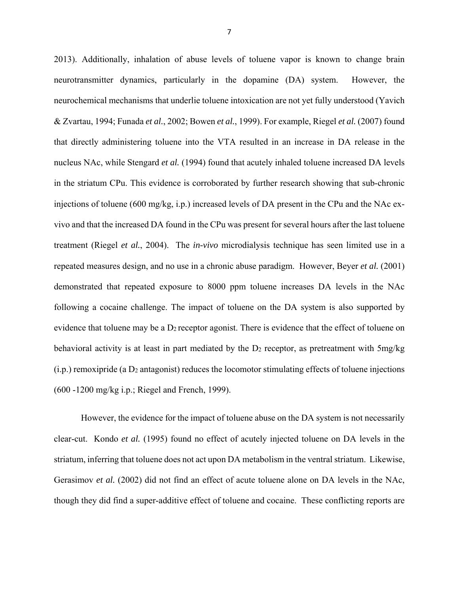2013). Additionally, inhalation of abuse levels of toluene vapor is known to change brain neurotransmitter dynamics, particularly in the dopamine (DA) system. However, the neurochemical mechanisms that underlie toluene intoxication are not yet fully understood (Yavich & Zvartau, 1994; Funada *et al.*, 2002; Bowen *et al.*, 1999). For example, Riegel *et al.* (2007) found that directly administering toluene into the VTA resulted in an increase in DA release in the nucleus NAc, while Stengard *et al.* (1994) found that acutely inhaled toluene increased DA levels in the striatum CPu. This evidence is corroborated by further research showing that sub-chronic injections of toluene (600 mg/kg, i.p.) increased levels of DA present in the CPu and the NAc exvivo and that the increased DA found in the CPu was present for several hours after the last toluene treatment (Riegel *et al.*, 2004). The *in-vivo* microdialysis technique has seen limited use in a repeated measures design, and no use in a chronic abuse paradigm. However, Beyer *et al.* (2001) demonstrated that repeated exposure to 8000 ppm toluene increases DA levels in the NAc following a cocaine challenge. The impact of toluene on the DA system is also supported by evidence that toluene may be a  $D_2$  receptor agonist. There is evidence that the effect of toluene on behavioral activity is at least in part mediated by the  $D_2$  receptor, as pretreatment with  $5mg/kg$  $(i.p.)$  remoxipride (a  $D_2$  antagonist) reduces the locomotor stimulating effects of toluene injections (600 -1200 mg/kg i.p.; Riegel and French, 1999).

However, the evidence for the impact of toluene abuse on the DA system is not necessarily clear-cut. Kondo *et al.* (1995) found no effect of acutely injected toluene on DA levels in the striatum, inferring that toluene does not act upon DA metabolism in the ventral striatum. Likewise, Gerasimov *et al.* (2002) did not find an effect of acute toluene alone on DA levels in the NAc, though they did find a super-additive effect of toluene and cocaine. These conflicting reports are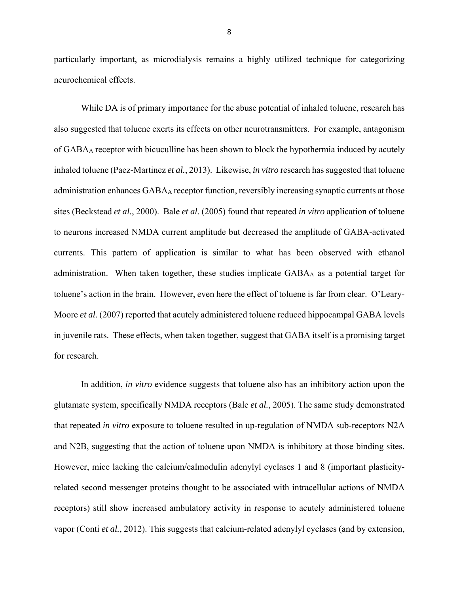particularly important, as microdialysis remains a highly utilized technique for categorizing neurochemical effects.

While DA is of primary importance for the abuse potential of inhaled toluene, research has also suggested that toluene exerts its effects on other neurotransmitters. For example, antagonism of GABAA receptor with bicuculline has been shown to block the hypothermia induced by acutely inhaled toluene (Paez-Martinez *et al.*, 2013). Likewise, *in vitro* research has suggested that toluene administration enhances GABAA receptor function, reversibly increasing synaptic currents at those sites (Beckstead *et al.*, 2000). Bale *et al.* (2005) found that repeated *in vitro* application of toluene to neurons increased NMDA current amplitude but decreased the amplitude of GABA-activated currents. This pattern of application is similar to what has been observed with ethanol administration. When taken together, these studies implicate GABAA as a potential target for toluene's action in the brain. However, even here the effect of toluene is far from clear. O'Leary-Moore *et al.* (2007) reported that acutely administered toluene reduced hippocampal GABA levels in juvenile rats. These effects, when taken together, suggest that GABA itself is a promising target for research.

In addition, *in vitro* evidence suggests that toluene also has an inhibitory action upon the glutamate system, specifically NMDA receptors (Bale *et al.*, 2005). The same study demonstrated that repeated *in vitro* exposure to toluene resulted in up-regulation of NMDA sub-receptors N2A and N2B, suggesting that the action of toluene upon NMDA is inhibitory at those binding sites. However, mice lacking the calcium/calmodulin adenylyl cyclases 1 and 8 (important plasticityrelated second messenger proteins thought to be associated with intracellular actions of NMDA receptors) still show increased ambulatory activity in response to acutely administered toluene vapor (Conti *et al.*, 2012). This suggests that calcium-related adenylyl cyclases (and by extension,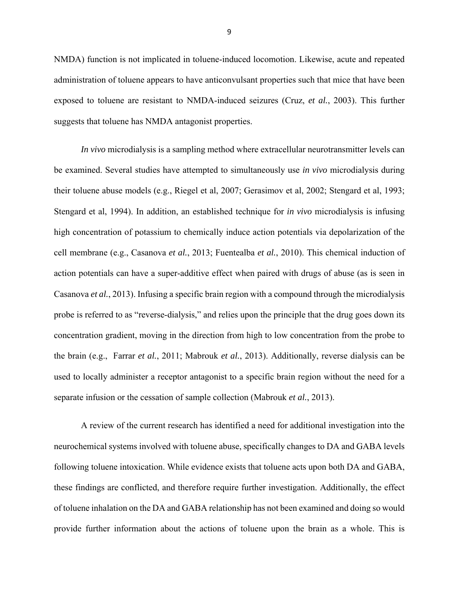NMDA) function is not implicated in toluene-induced locomotion. Likewise, acute and repeated administration of toluene appears to have anticonvulsant properties such that mice that have been exposed to toluene are resistant to NMDA-induced seizures (Cruz, *et al.*, 2003). This further suggests that toluene has NMDA antagonist properties.

*In vivo* microdialysis is a sampling method where extracellular neurotransmitter levels can be examined. Several studies have attempted to simultaneously use *in vivo* microdialysis during their toluene abuse models (e.g., Riegel et al, 2007; Gerasimov et al, 2002; Stengard et al, 1993; Stengard et al, 1994). In addition, an established technique for *in vivo* microdialysis is infusing high concentration of potassium to chemically induce action potentials via depolarization of the cell membrane (e.g., Casanova *et al.*, 2013; Fuentealba *et al.*, 2010). This chemical induction of action potentials can have a super-additive effect when paired with drugs of abuse (as is seen in Casanova *et al.*, 2013). Infusing a specific brain region with a compound through the microdialysis probe is referred to as "reverse-dialysis," and relies upon the principle that the drug goes down its concentration gradient, moving in the direction from high to low concentration from the probe to the brain (e.g., Farrar *et al.*, 2011; Mabrouk *et al.*, 2013). Additionally, reverse dialysis can be used to locally administer a receptor antagonist to a specific brain region without the need for a separate infusion or the cessation of sample collection (Mabrouk *et al.*, 2013).

A review of the current research has identified a need for additional investigation into the neurochemical systems involved with toluene abuse, specifically changes to DA and GABA levels following toluene intoxication. While evidence exists that toluene acts upon both DA and GABA, these findings are conflicted, and therefore require further investigation. Additionally, the effect of toluene inhalation on the DA and GABA relationship has not been examined and doing so would provide further information about the actions of toluene upon the brain as a whole. This is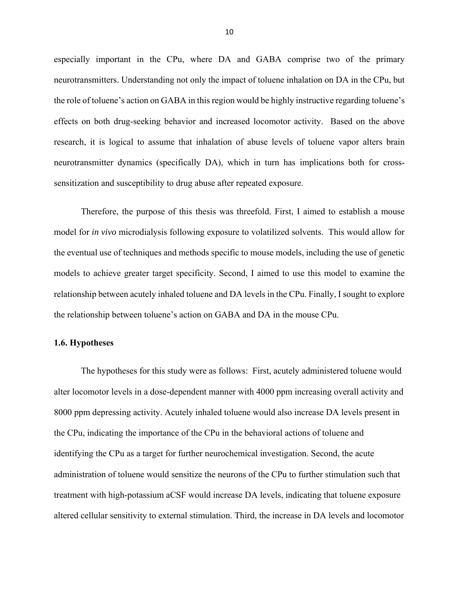especially important in the CPu, where DA and GABA comprise two of the primary neurotransmitters. Understanding not only the impact of toluene inhalation on DA in the CPu, but the role of toluene's action on GABA in this region would be highly instructive regarding toluene's effects on both drug-seeking behavior and increased locomotor activity. Based on the above research, it is logical to assume that inhalation of abuse levels of toluene vapor alters brain neurotransmitter dynamics (specifically DA), which in turn has implications both for crosssensitization and susceptibility to drug abuse after repeated exposure.

Therefore, the purpose of this thesis was threefold. First, I aimed to establish a mouse model for *in vivo* microdialysis following exposure to volatilized solvents. This would allow for the eventual use of techniques and methods specific to mouse models, including the use of genetic models to achieve greater target specificity. Second, I aimed to use this model to examine the relationship between acutely inhaled toluene and DA levels in the CPu. Finally, I sought to explore the relationship between toluene's action on GABA and DA in the mouse CPu.

#### **1.6. Hypotheses**

The hypotheses for this study were as follows: First, acutely administered toluene would alter locomotor levels in a dose-dependent manner with 4000 ppm increasing overall activity and 8000 ppm depressing activity. Acutely inhaled toluene would also increase DA levels present in the CPu, indicating the importance of the CPu in the behavioral actions of toluene and identifying the CPu as a target for further neurochemical investigation. Second, the acute administration of toluene would sensitize the neurons of the CPu to further stimulation such that treatment with high-potassium aCSF would increase DA levels, indicating that toluene exposure altered cellular sensitivity to external stimulation. Third, the increase in DA levels and locomotor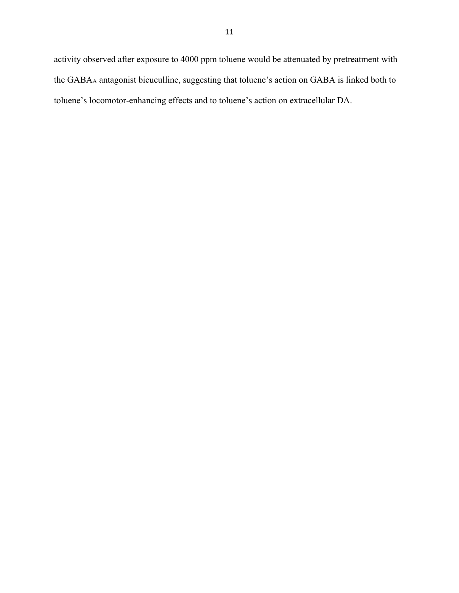activity observed after exposure to 4000 ppm toluene would be attenuated by pretreatment with the GABAA antagonist bicuculline, suggesting that toluene's action on GABA is linked both to toluene's locomotor-enhancing effects and to toluene's action on extracellular DA.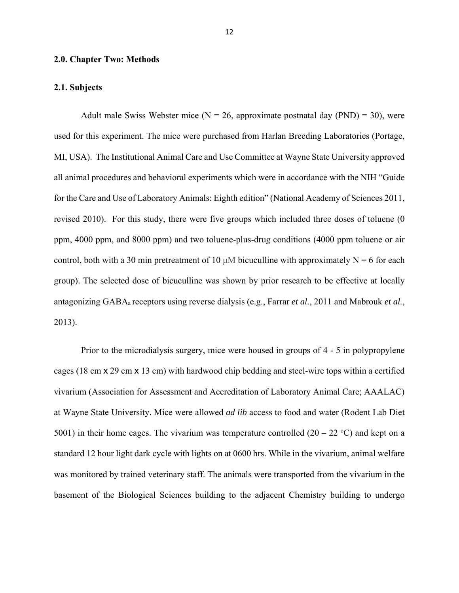#### **2.0. Chapter Two: Methods**

#### **2.1. Subjects**

Adult male Swiss Webster mice ( $N = 26$ , approximate postnatal day (PND) = 30), were used for this experiment. The mice were purchased from Harlan Breeding Laboratories (Portage, MI, USA). The Institutional Animal Care and Use Committee at Wayne State University approved all animal procedures and behavioral experiments which were in accordance with the NIH "Guide for the Care and Use of Laboratory Animals: Eighth edition" (National Academy of Sciences 2011, revised 2010). For this study, there were five groups which included three doses of toluene (0 ppm, 4000 ppm, and 8000 ppm) and two toluene-plus-drug conditions (4000 ppm toluene or air control, both with a 30 min pretreatment of 10  $\mu$ M bicuculline with approximately N = 6 for each group). The selected dose of bicuculline was shown by prior research to be effective at locally antagonizing GABAa receptors using reverse dialysis (e.g., Farrar *et al.*, 2011 and Mabrouk *et al.*, 2013).

Prior to the microdialysis surgery, mice were housed in groups of 4 - 5 in polypropylene cages (18 cm x 29 cm x 13 cm) with hardwood chip bedding and steel-wire tops within a certified vivarium (Association for Assessment and Accreditation of Laboratory Animal Care; AAALAC) at Wayne State University. Mice were allowed *ad lib* access to food and water (Rodent Lab Diet 5001) in their home cages. The vivarium was temperature controlled  $(20 - 22 \degree C)$  and kept on a standard 12 hour light dark cycle with lights on at 0600 hrs. While in the vivarium, animal welfare was monitored by trained veterinary staff. The animals were transported from the vivarium in the basement of the Biological Sciences building to the adjacent Chemistry building to undergo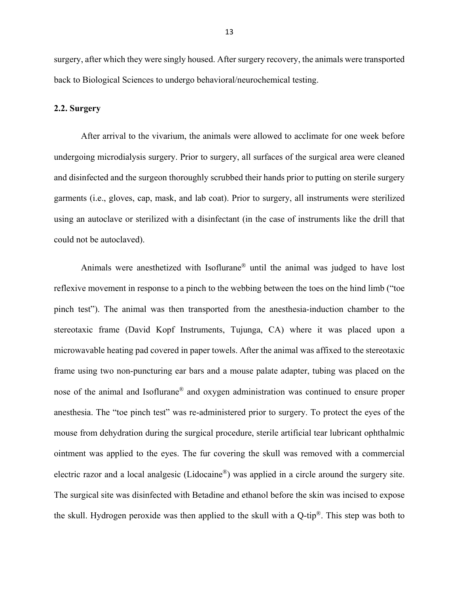surgery, after which they were singly housed. After surgery recovery, the animals were transported back to Biological Sciences to undergo behavioral/neurochemical testing.

#### **2.2. Surgery**

After arrival to the vivarium, the animals were allowed to acclimate for one week before undergoing microdialysis surgery. Prior to surgery, all surfaces of the surgical area were cleaned and disinfected and the surgeon thoroughly scrubbed their hands prior to putting on sterile surgery garments (i.e., gloves, cap, mask, and lab coat). Prior to surgery, all instruments were sterilized using an autoclave or sterilized with a disinfectant (in the case of instruments like the drill that could not be autoclaved).

Animals were anesthetized with Isoflurane® until the animal was judged to have lost reflexive movement in response to a pinch to the webbing between the toes on the hind limb ("toe pinch test"). The animal was then transported from the anesthesia-induction chamber to the stereotaxic frame (David Kopf Instruments, Tujunga, CA) where it was placed upon a microwavable heating pad covered in paper towels. After the animal was affixed to the stereotaxic frame using two non-puncturing ear bars and a mouse palate adapter, tubing was placed on the nose of the animal and Isoflurane® and oxygen administration was continued to ensure proper anesthesia. The "toe pinch test" was re-administered prior to surgery. To protect the eyes of the mouse from dehydration during the surgical procedure, sterile artificial tear lubricant ophthalmic ointment was applied to the eyes. The fur covering the skull was removed with a commercial electric razor and a local analgesic (Lidocaine®) was applied in a circle around the surgery site. The surgical site was disinfected with Betadine and ethanol before the skin was incised to expose the skull. Hydrogen peroxide was then applied to the skull with a Q-tip®. This step was both to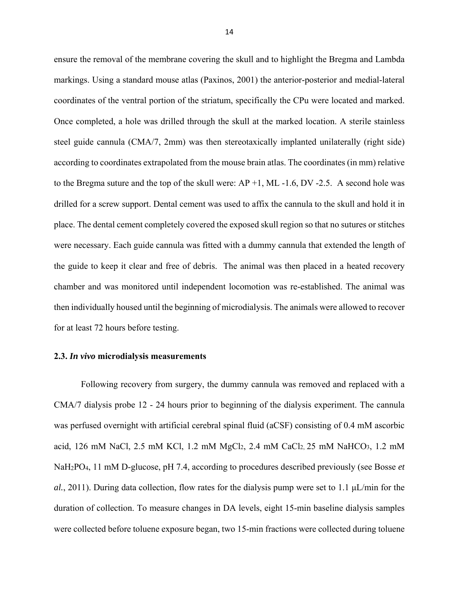ensure the removal of the membrane covering the skull and to highlight the Bregma and Lambda markings. Using a standard mouse atlas (Paxinos, 2001) the anterior-posterior and medial-lateral coordinates of the ventral portion of the striatum, specifically the CPu were located and marked. Once completed, a hole was drilled through the skull at the marked location. A sterile stainless steel guide cannula (CMA/7, 2mm) was then stereotaxically implanted unilaterally (right side) according to coordinates extrapolated from the mouse brain atlas. The coordinates (in mm) relative to the Bregma suture and the top of the skull were:  $AP +1$ , ML -1.6, DV -2.5. A second hole was drilled for a screw support. Dental cement was used to affix the cannula to the skull and hold it in place. The dental cement completely covered the exposed skull region so that no sutures or stitches were necessary. Each guide cannula was fitted with a dummy cannula that extended the length of the guide to keep it clear and free of debris. The animal was then placed in a heated recovery chamber and was monitored until independent locomotion was re-established. The animal was then individually housed until the beginning of microdialysis. The animals were allowed to recover for at least 72 hours before testing.

#### **2.3.** *In vivo* **microdialysis measurements**

Following recovery from surgery, the dummy cannula was removed and replaced with a CMA/7 dialysis probe 12 - 24 hours prior to beginning of the dialysis experiment. The cannula was perfused overnight with artificial cerebral spinal fluid (aCSF) consisting of 0.4 mM ascorbic acid, 126 mM NaCl, 2.5 mM KCl, 1.2 mM MgCl2, 2.4 mM CaCl2, 25 mM NaHCO3, 1.2 mM NaH2PO4, 11 mM D-glucose, pH 7.4, according to procedures described previously (see Bosse *et al.*, 2011). During data collection, flow rates for the dialysis pump were set to 1.1 μL/min for the duration of collection. To measure changes in DA levels, eight 15-min baseline dialysis samples were collected before toluene exposure began, two 15-min fractions were collected during toluene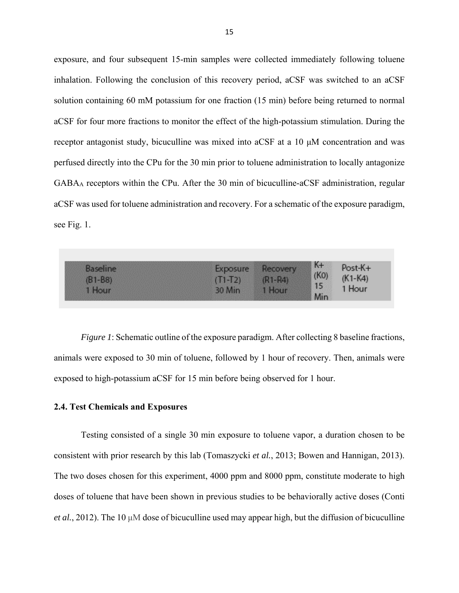exposure, and four subsequent 15-min samples were collected immediately following toluene inhalation. Following the conclusion of this recovery period, aCSF was switched to an aCSF solution containing 60 mM potassium for one fraction (15 min) before being returned to normal aCSF for four more fractions to monitor the effect of the high-potassium stimulation. During the receptor antagonist study, bicuculline was mixed into aCSF at a 10 μM concentration and was perfused directly into the CPu for the 30 min prior to toluene administration to locally antagonize GABAA receptors within the CPu. After the 30 min of bicuculline-aCSF administration, regular aCSF was used for toluene administration and recovery. For a schematic of the exposure paradigm, see Fig. 1.

| <b>IPO</b> | $K +$ | $st-K+$    |
|------------|-------|------------|
| $1 - 721$  |       | $-K4)$     |
|            |       |            |
|            |       | (KO)<br>15 |

*Figure 1*: Schematic outline of the exposure paradigm. After collecting 8 baseline fractions, animals were exposed to 30 min of toluene, followed by 1 hour of recovery. Then, animals were exposed to high-potassium aCSF for 15 min before being observed for 1 hour.

#### **2.4. Test Chemicals and Exposures**

Testing consisted of a single 30 min exposure to toluene vapor, a duration chosen to be consistent with prior research by this lab (Tomaszycki *et al.*, 2013; Bowen and Hannigan, 2013). The two doses chosen for this experiment, 4000 ppm and 8000 ppm, constitute moderate to high doses of toluene that have been shown in previous studies to be behaviorally active doses (Conti *et al.*, 2012). The 10 μM dose of bicuculline used may appear high, but the diffusion of bicuculline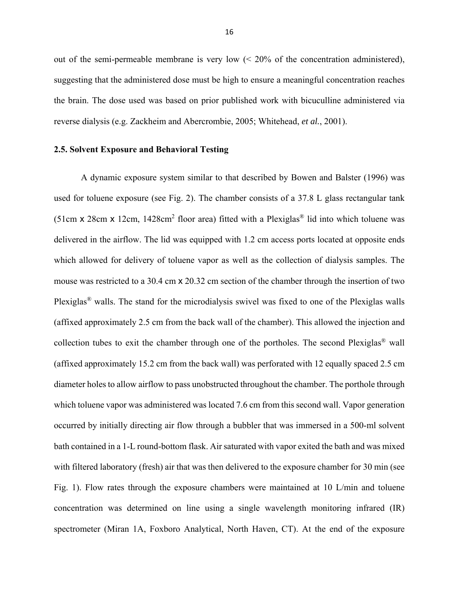out of the semi-permeable membrane is very low  $\approx 20\%$  of the concentration administered), suggesting that the administered dose must be high to ensure a meaningful concentration reaches the brain. The dose used was based on prior published work with bicuculline administered via reverse dialysis (e.g. Zackheim and Abercrombie, 2005; Whitehead, *et al.*, 2001).

#### **2.5. Solvent Exposure and Behavioral Testing**

A dynamic exposure system similar to that described by Bowen and Balster (1996) was used for toluene exposure (see Fig. 2). The chamber consists of a 37.8 L glass rectangular tank (51cm x 28cm x 12cm, 1428cm<sup>2</sup> floor area) fitted with a Plexiglas<sup>®</sup> lid into which toluene was delivered in the airflow. The lid was equipped with 1.2 cm access ports located at opposite ends which allowed for delivery of toluene vapor as well as the collection of dialysis samples. The mouse was restricted to a 30.4 cm x 20.32 cm section of the chamber through the insertion of two Plexiglas® walls. The stand for the microdialysis swivel was fixed to one of the Plexiglas walls (affixed approximately 2.5 cm from the back wall of the chamber). This allowed the injection and collection tubes to exit the chamber through one of the portholes. The second Plexiglas® wall (affixed approximately 15.2 cm from the back wall) was perforated with 12 equally spaced 2.5 cm diameter holes to allow airflow to pass unobstructed throughout the chamber. The porthole through which toluene vapor was administered was located 7.6 cm from this second wall. Vapor generation occurred by initially directing air flow through a bubbler that was immersed in a 500-ml solvent bath contained in a 1-L round-bottom flask. Air saturated with vapor exited the bath and was mixed with filtered laboratory (fresh) air that was then delivered to the exposure chamber for 30 min (see Fig. 1). Flow rates through the exposure chambers were maintained at 10 L/min and toluene concentration was determined on line using a single wavelength monitoring infrared (IR) spectrometer (Miran 1A, Foxboro Analytical, North Haven, CT). At the end of the exposure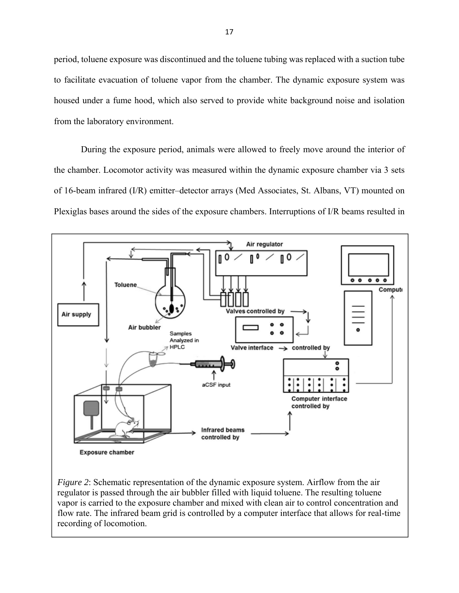period, toluene exposure was discontinued and the toluene tubing was replaced with a suction tube to facilitate evacuation of toluene vapor from the chamber. The dynamic exposure system was housed under a fume hood, which also served to provide white background noise and isolation from the laboratory environment.

During the exposure period, animals were allowed to freely move around the interior of the chamber. Locomotor activity was measured within the dynamic exposure chamber via 3 sets of 16-beam infrared (I/R) emitter–detector arrays (Med Associates, St. Albans, VT) mounted on Plexiglas bases around the sides of the exposure chambers. Interruptions of I/R beams resulted in



*Figure 2*: Schematic representation of the dynamic exposure system. Airflow from the air regulator is passed through the air bubbler filled with liquid toluene. The resulting toluene vapor is carried to the exposure chamber and mixed with clean air to control concentration and flow rate. The infrared beam grid is controlled by a computer interface that allows for real-time recording of locomotion.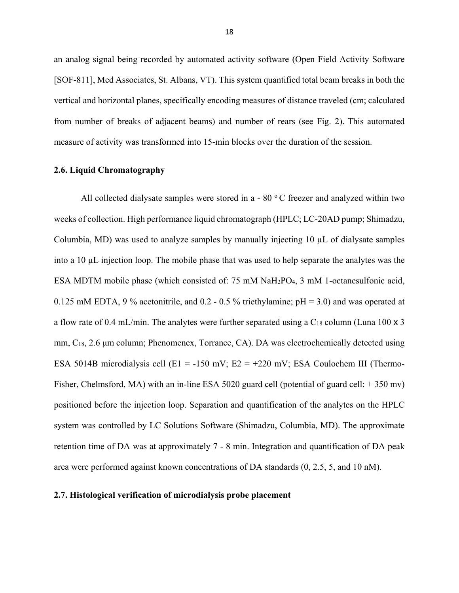an analog signal being recorded by automated activity software (Open Field Activity Software [SOF-811], Med Associates, St. Albans, VT). This system quantified total beam breaks in both the vertical and horizontal planes, specifically encoding measures of distance traveled (cm; calculated from number of breaks of adjacent beams) and number of rears (see Fig. 2). This automated measure of activity was transformed into 15-min blocks over the duration of the session.

#### **2.6. Liquid Chromatography**

All collected dialysate samples were stored in a - 80 $\degree$ C freezer and analyzed within two weeks of collection. High performance liquid chromatograph (HPLC; LC-20AD pump; Shimadzu, Columbia, MD) was used to analyze samples by manually injecting 10 µL of dialysate samples into a 10 µL injection loop. The mobile phase that was used to help separate the analytes was the ESA MDTM mobile phase (which consisted of: 75 mM NaH2PO4, 3 mM 1-octanesulfonic acid, 0.125 mM EDTA, 9 % acetonitrile, and 0.2 - 0.5 % triethylamine;  $pH = 3.0$ ) and was operated at a flow rate of 0.4 mL/min. The analytes were further separated using a  $C_{18}$  column (Luna 100 x 3) mm, C<sub>18</sub>, 2.6 μm column; Phenomenex, Torrance, CA). DA was electrochemically detected using ESA 5014B microdialysis cell (E1 = -150 mV; E2 = +220 mV; ESA Coulochem III (Thermo-Fisher, Chelmsford, MA) with an in-line ESA 5020 guard cell (potential of guard cell: + 350 mv) positioned before the injection loop. Separation and quantification of the analytes on the HPLC system was controlled by LC Solutions Software (Shimadzu, Columbia, MD). The approximate retention time of DA was at approximately 7 - 8 min. Integration and quantification of DA peak area were performed against known concentrations of DA standards (0, 2.5, 5, and 10 nM).

#### **2.7. Histological verification of microdialysis probe placement**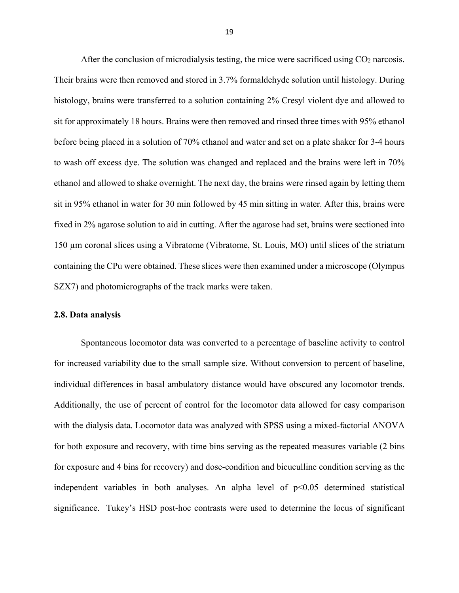After the conclusion of microdialysis testing, the mice were sacrificed using  $CO<sub>2</sub>$  narcosis. Their brains were then removed and stored in 3.7% formaldehyde solution until histology. During histology, brains were transferred to a solution containing 2% Cresyl violent dye and allowed to sit for approximately 18 hours. Brains were then removed and rinsed three times with 95% ethanol before being placed in a solution of 70% ethanol and water and set on a plate shaker for 3-4 hours to wash off excess dye. The solution was changed and replaced and the brains were left in 70% ethanol and allowed to shake overnight. The next day, the brains were rinsed again by letting them sit in 95% ethanol in water for 30 min followed by 45 min sitting in water. After this, brains were fixed in 2% agarose solution to aid in cutting. After the agarose had set, brains were sectioned into 150 µm coronal slices using a Vibratome (Vibratome, St. Louis, MO) until slices of the striatum containing the CPu were obtained. These slices were then examined under a microscope (Olympus SZX7) and photomicrographs of the track marks were taken.

#### **2.8. Data analysis**

Spontaneous locomotor data was converted to a percentage of baseline activity to control for increased variability due to the small sample size. Without conversion to percent of baseline, individual differences in basal ambulatory distance would have obscured any locomotor trends. Additionally, the use of percent of control for the locomotor data allowed for easy comparison with the dialysis data. Locomotor data was analyzed with SPSS using a mixed-factorial ANOVA for both exposure and recovery, with time bins serving as the repeated measures variable (2 bins for exposure and 4 bins for recovery) and dose-condition and bicuculline condition serving as the independent variables in both analyses. An alpha level of  $p<0.05$  determined statistical significance. Tukey's HSD post-hoc contrasts were used to determine the locus of significant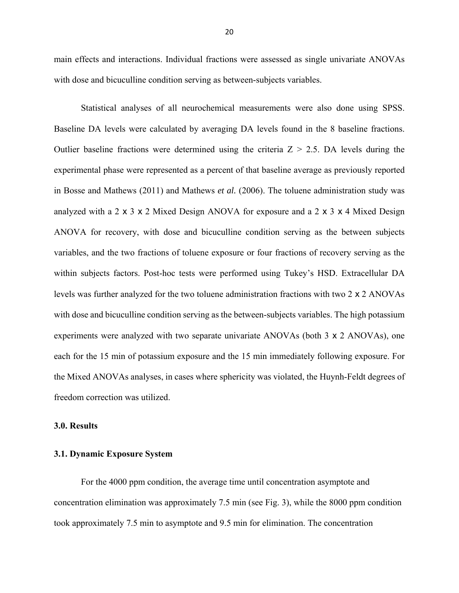main effects and interactions. Individual fractions were assessed as single univariate ANOVAs with dose and bicuculline condition serving as between-subjects variables.

Statistical analyses of all neurochemical measurements were also done using SPSS. Baseline DA levels were calculated by averaging DA levels found in the 8 baseline fractions. Outlier baseline fractions were determined using the criteria  $Z > 2.5$ . DA levels during the experimental phase were represented as a percent of that baseline average as previously reported in Bosse and Mathews (2011) and Mathews *et al.* (2006). The toluene administration study was analyzed with a 2 x 3 x 2 Mixed Design ANOVA for exposure and a 2 x 3 x 4 Mixed Design ANOVA for recovery, with dose and bicuculline condition serving as the between subjects variables, and the two fractions of toluene exposure or four fractions of recovery serving as the within subjects factors. Post-hoc tests were performed using Tukey's HSD. Extracellular DA levels was further analyzed for the two toluene administration fractions with two 2 x 2 ANOVAs with dose and bicuculline condition serving as the between-subjects variables. The high potassium experiments were analyzed with two separate univariate ANOVAs (both 3 x 2 ANOVAs), one each for the 15 min of potassium exposure and the 15 min immediately following exposure. For the Mixed ANOVAs analyses, in cases where sphericity was violated, the Huynh-Feldt degrees of freedom correction was utilized.

#### **3.0. Results**

### **3.1. Dynamic Exposure System**

 For the 4000 ppm condition, the average time until concentration asymptote and concentration elimination was approximately 7.5 min (see Fig. 3), while the 8000 ppm condition took approximately 7.5 min to asymptote and 9.5 min for elimination. The concentration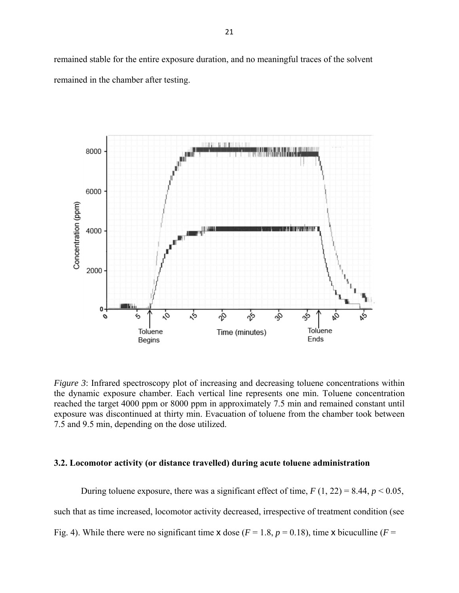remained stable for the entire exposure duration, and no meaningful traces of the solvent remained in the chamber after testing.



*Figure 3*: Infrared spectroscopy plot of increasing and decreasing toluene concentrations within the dynamic exposure chamber. Each vertical line represents one min. Toluene concentration reached the target 4000 ppm or 8000 ppm in approximately 7.5 min and remained constant until exposure was discontinued at thirty min. Evacuation of toluene from the chamber took between 7.5 and 9.5 min, depending on the dose utilized.

#### **3.2. Locomotor activity (or distance travelled) during acute toluene administration**

During toluene exposure, there was a significant effect of time,  $F(1, 22) = 8.44$ ,  $p < 0.05$ , such that as time increased, locomotor activity decreased, irrespective of treatment condition (see Fig. 4). While there were no significant time x dose ( $F = 1.8$ ,  $p = 0.18$ ), time x bicuculline ( $F =$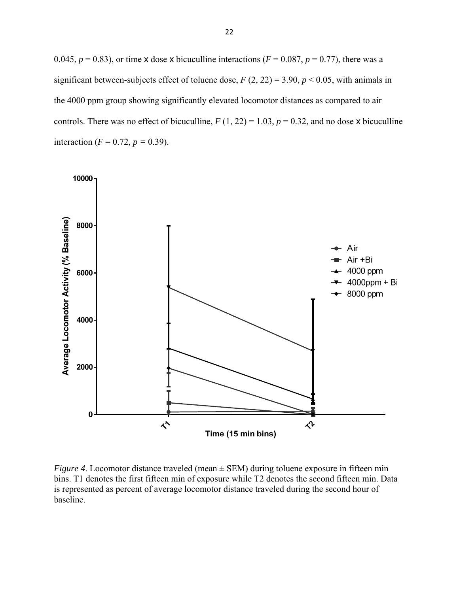0.045,  $p = 0.83$ ), or time x dose x bicuculline interactions ( $F = 0.087$ ,  $p = 0.77$ ), there was a significant between-subjects effect of toluene dose,  $F(2, 22) = 3.90, p < 0.05$ , with animals in the 4000 ppm group showing significantly elevated locomotor distances as compared to air controls. There was no effect of bicuculline,  $F(1, 22) = 1.03$ ,  $p = 0.32$ , and no dose x bicuculline interaction ( $F = 0.72$ ,  $p = 0.39$ ).



*Figure 4.* Locomotor distance traveled (mean  $\pm$  SEM) during toluene exposure in fifteen min bins. T1 denotes the first fifteen min of exposure while T2 denotes the second fifteen min. Data is represented as percent of average locomotor distance traveled during the second hour of baseline.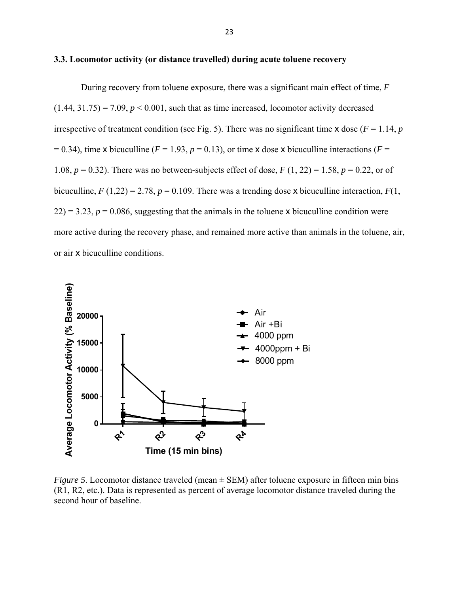#### **3.3. Locomotor activity (or distance travelled) during acute toluene recovery**

 During recovery from toluene exposure, there was a significant main effect of time, *F*  $(1.44, 31.75) = 7.09$ ,  $p < 0.001$ , such that as time increased, locomotor activity decreased irrespective of treatment condition (see Fig. 5). There was no significant time  $x$  dose ( $F = 1.14$ ,  $p$  $= 0.34$ ), time x bicuculline ( $F = 1.93$ ,  $p = 0.13$ ), or time x dose x bicuculline interactions ( $F = 0.34$ ) 1.08,  $p = 0.32$ ). There was no between-subjects effect of dose,  $F(1, 22) = 1.58$ ,  $p = 0.22$ , or of bicuculline,  $F(1,22) = 2.78$ ,  $p = 0.109$ . There was a trending dose x bicuculline interaction,  $F(1, 1)$  $22$ ) = 3.23,  $p = 0.086$ , suggesting that the animals in the toluene x bicuculline condition were more active during the recovery phase, and remained more active than animals in the toluene, air, or air x bicuculline conditions.



*Figure 5*. Locomotor distance traveled (mean  $\pm$  SEM) after toluene exposure in fifteen min bins (R1, R2, etc.). Data is represented as percent of average locomotor distance traveled during the second hour of baseline.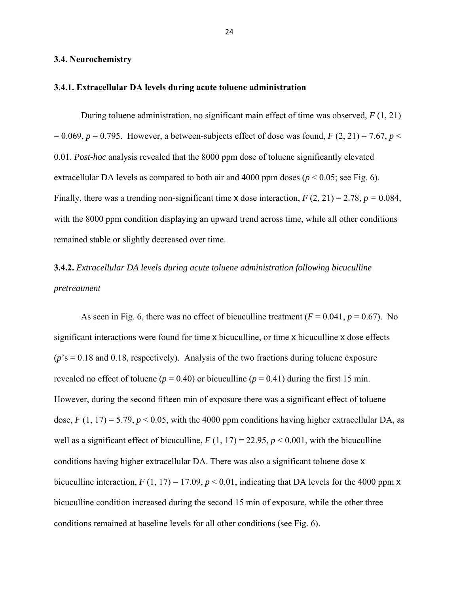#### **3.4. Neurochemistry**

#### **3.4.1. Extracellular DA levels during acute toluene administration**

 During toluene administration, no significant main effect of time was observed, *F* (1, 21)  $= 0.069$ ,  $p = 0.795$ . However, a between-subjects effect of dose was found,  $F(2, 21) = 7.67$ ,  $p \le$ 0.01. *Post-hoc* analysis revealed that the 8000 ppm dose of toluene significantly elevated extracellular DA levels as compared to both air and 4000 ppm doses ( $p < 0.05$ ; see Fig. 6). Finally, there was a trending non-significant time x dose interaction, *F* (2, 21) = 2.78, *p =* 0.084, with the 8000 ppm condition displaying an upward trend across time, while all other conditions remained stable or slightly decreased over time.

# **3.4.2.** *Extracellular DA levels during acute toluene administration following bicuculline pretreatment*

As seen in Fig. 6, there was no effect of bicuculline treatment  $(F = 0.041, p = 0.67)$ . No significant interactions were found for time x bicuculline, or time x bicuculline x dose effects (*p*'s = 0.18 and 0.18, respectively). Analysis of the two fractions during toluene exposure revealed no effect of toluene ( $p = 0.40$ ) or bicuculline ( $p = 0.41$ ) during the first 15 min. However, during the second fifteen min of exposure there was a significant effect of toluene dose,  $F(1, 17) = 5.79$ ,  $p < 0.05$ , with the 4000 ppm conditions having higher extracellular DA, as well as a significant effect of bicuculline,  $F(1, 17) = 22.95$ ,  $p < 0.001$ , with the bicuculline conditions having higher extracellular DA. There was also a significant toluene dose x bicuculline interaction,  $F(1, 17) = 17.09$ ,  $p < 0.01$ , indicating that DA levels for the 4000 ppm x bicuculline condition increased during the second 15 min of exposure, while the other three conditions remained at baseline levels for all other conditions (see Fig. 6).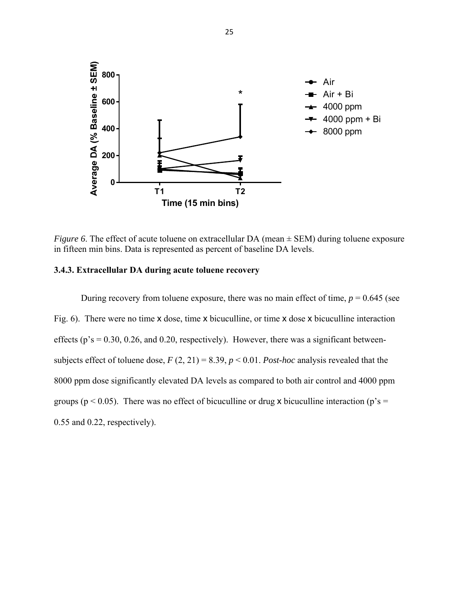

*Figure 6.* The effect of acute toluene on extracellular DA (mean  $\pm$  SEM) during toluene exposure in fifteen min bins. Data is represented as percent of baseline DA levels.

### **3.4.3. Extracellular DA during acute toluene recovery**

During recovery from toluene exposure, there was no main effect of time,  $p = 0.645$  (see Fig. 6). There were no time x dose, time x bicuculline, or time x dose x bicuculline interaction effects ( $p$ 's = 0.30, 0.26, and 0.20, respectively). However, there was a significant betweensubjects effect of toluene dose,  $F(2, 21) = 8.39$ ,  $p < 0.01$ . *Post-hoc* analysis revealed that the 8000 ppm dose significantly elevated DA levels as compared to both air control and 4000 ppm groups ( $p < 0.05$ ). There was no effect of bicuculline or drug x bicuculline interaction ( $p's =$ 0.55 and 0.22, respectively).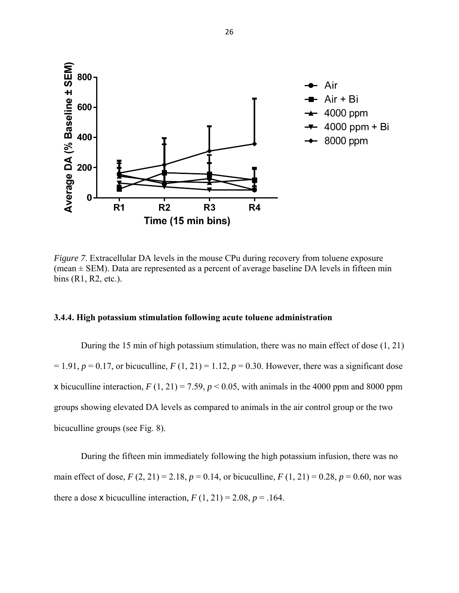

*Figure 7.* Extracellular DA levels in the mouse CPu during recovery from toluene exposure (mean  $\pm$  SEM). Data are represented as a percent of average baseline DA levels in fifteen min bins (R1, R2, etc.).

## **3.4.4. High potassium stimulation following acute toluene administration**

 During the 15 min of high potassium stimulation, there was no main effect of dose (1, 21)  $= 1.91, p = 0.17$ , or bicuculline,  $F(1, 21) = 1.12, p = 0.30$ . However, there was a significant dose x bicuculline interaction,  $F(1, 21) = 7.59$ ,  $p < 0.05$ , with animals in the 4000 ppm and 8000 ppm groups showing elevated DA levels as compared to animals in the air control group or the two bicuculline groups (see Fig. 8).

 During the fifteen min immediately following the high potassium infusion, there was no main effect of dose,  $F(2, 21) = 2.18$ ,  $p = 0.14$ , or bicuculline,  $F(1, 21) = 0.28$ ,  $p = 0.60$ , nor was there a dose x bicuculline interaction,  $F(1, 21) = 2.08$ ,  $p = .164$ .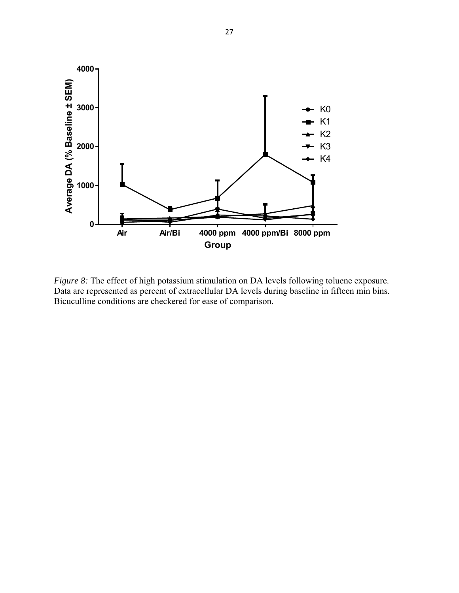

*Figure 8:* The effect of high potassium stimulation on DA levels following toluene exposure. Data are represented as percent of extracellular DA levels during baseline in fifteen min bins. Bicuculline conditions are checkered for ease of comparison.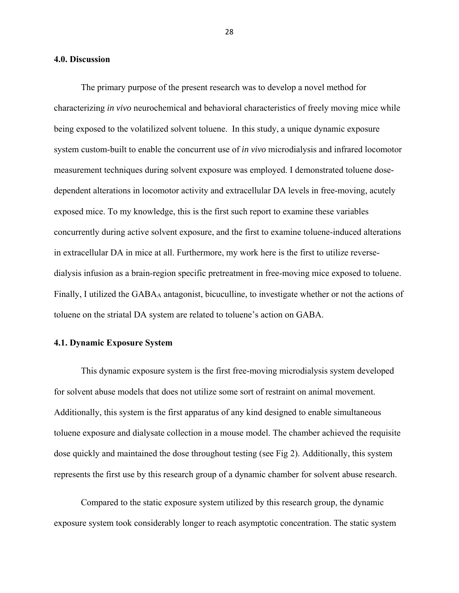#### **4.0. Discussion**

The primary purpose of the present research was to develop a novel method for characterizing *in vivo* neurochemical and behavioral characteristics of freely moving mice while being exposed to the volatilized solvent toluene. In this study, a unique dynamic exposure system custom-built to enable the concurrent use of *in vivo* microdialysis and infrared locomotor measurement techniques during solvent exposure was employed. I demonstrated toluene dosedependent alterations in locomotor activity and extracellular DA levels in free-moving, acutely exposed mice. To my knowledge, this is the first such report to examine these variables concurrently during active solvent exposure, and the first to examine toluene-induced alterations in extracellular DA in mice at all. Furthermore, my work here is the first to utilize reversedialysis infusion as a brain-region specific pretreatment in free-moving mice exposed to toluene. Finally, I utilized the GABAA antagonist, bicuculline, to investigate whether or not the actions of toluene on the striatal DA system are related to toluene's action on GABA.

#### **4.1. Dynamic Exposure System**

 This dynamic exposure system is the first free-moving microdialysis system developed for solvent abuse models that does not utilize some sort of restraint on animal movement. Additionally, this system is the first apparatus of any kind designed to enable simultaneous toluene exposure and dialysate collection in a mouse model. The chamber achieved the requisite dose quickly and maintained the dose throughout testing (see Fig 2). Additionally, this system represents the first use by this research group of a dynamic chamber for solvent abuse research.

Compared to the static exposure system utilized by this research group, the dynamic exposure system took considerably longer to reach asymptotic concentration. The static system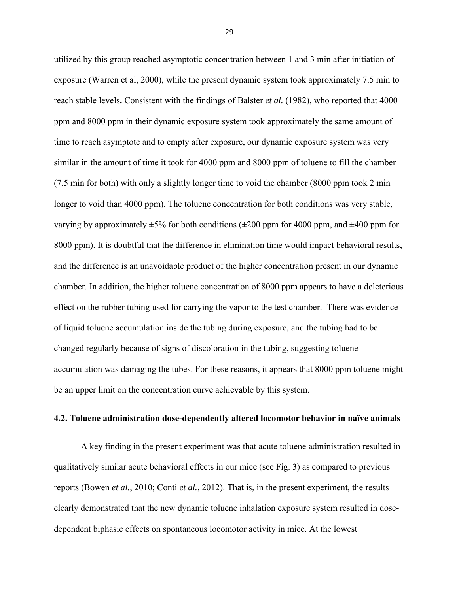utilized by this group reached asymptotic concentration between 1 and 3 min after initiation of exposure (Warren et al, 2000), while the present dynamic system took approximately 7.5 min to reach stable levels**.** Consistent with the findings of Balster *et al.* (1982), who reported that 4000 ppm and 8000 ppm in their dynamic exposure system took approximately the same amount of time to reach asymptote and to empty after exposure, our dynamic exposure system was very similar in the amount of time it took for 4000 ppm and 8000 ppm of toluene to fill the chamber (7.5 min for both) with only a slightly longer time to void the chamber (8000 ppm took 2 min longer to void than 4000 ppm). The toluene concentration for both conditions was very stable, varying by approximately  $\pm 5\%$  for both conditions ( $\pm 200$  ppm for 4000 ppm, and  $\pm 400$  ppm for 8000 ppm). It is doubtful that the difference in elimination time would impact behavioral results, and the difference is an unavoidable product of the higher concentration present in our dynamic chamber. In addition, the higher toluene concentration of 8000 ppm appears to have a deleterious effect on the rubber tubing used for carrying the vapor to the test chamber. There was evidence of liquid toluene accumulation inside the tubing during exposure, and the tubing had to be changed regularly because of signs of discoloration in the tubing, suggesting toluene accumulation was damaging the tubes. For these reasons, it appears that 8000 ppm toluene might be an upper limit on the concentration curve achievable by this system.

#### **4.2. Toluene administration dose-dependently altered locomotor behavior in naïve animals**

A key finding in the present experiment was that acute toluene administration resulted in qualitatively similar acute behavioral effects in our mice (see Fig. 3) as compared to previous reports (Bowen *et al.*, 2010; Conti *et al.*, 2012). That is, in the present experiment, the results clearly demonstrated that the new dynamic toluene inhalation exposure system resulted in dosedependent biphasic effects on spontaneous locomotor activity in mice. At the lowest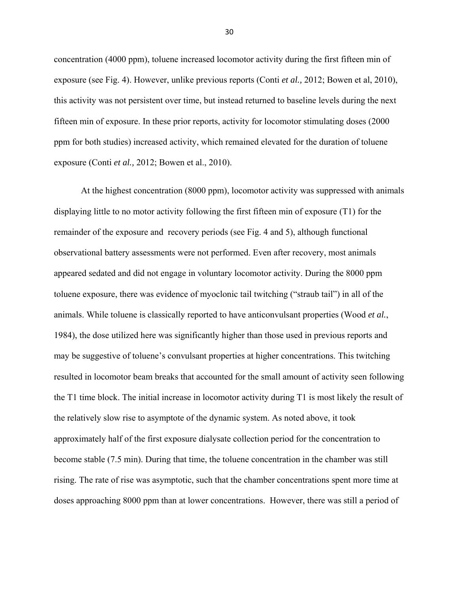concentration (4000 ppm), toluene increased locomotor activity during the first fifteen min of exposure (see Fig. 4). However, unlike previous reports (Conti *et al.,* 2012; Bowen et al, 2010), this activity was not persistent over time, but instead returned to baseline levels during the next fifteen min of exposure. In these prior reports, activity for locomotor stimulating doses (2000 ppm for both studies) increased activity, which remained elevated for the duration of toluene exposure (Conti *et al.,* 2012; Bowen et al., 2010).

At the highest concentration (8000 ppm), locomotor activity was suppressed with animals displaying little to no motor activity following the first fifteen min of exposure (T1) for the remainder of the exposure and recovery periods (see Fig. 4 and 5), although functional observational battery assessments were not performed. Even after recovery, most animals appeared sedated and did not engage in voluntary locomotor activity. During the 8000 ppm toluene exposure, there was evidence of myoclonic tail twitching ("straub tail") in all of the animals. While toluene is classically reported to have anticonvulsant properties (Wood *et al.*, 1984), the dose utilized here was significantly higher than those used in previous reports and may be suggestive of toluene's convulsant properties at higher concentrations. This twitching resulted in locomotor beam breaks that accounted for the small amount of activity seen following the T1 time block. The initial increase in locomotor activity during T1 is most likely the result of the relatively slow rise to asymptote of the dynamic system. As noted above, it took approximately half of the first exposure dialysate collection period for the concentration to become stable (7.5 min). During that time, the toluene concentration in the chamber was still rising. The rate of rise was asymptotic, such that the chamber concentrations spent more time at doses approaching 8000 ppm than at lower concentrations. However, there was still a period of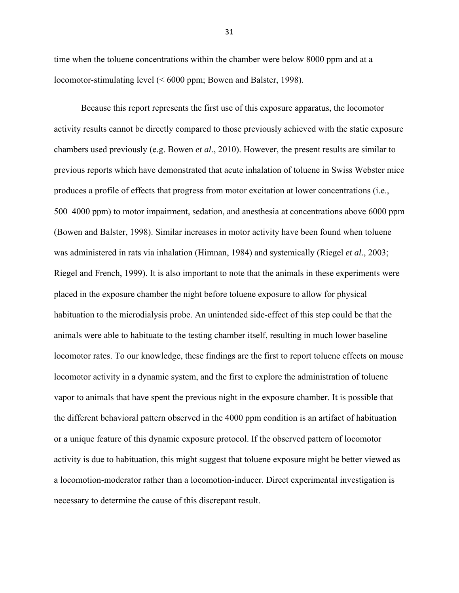time when the toluene concentrations within the chamber were below 8000 ppm and at a locomotor-stimulating level (< 6000 ppm; Bowen and Balster, 1998).

Because this report represents the first use of this exposure apparatus, the locomotor activity results cannot be directly compared to those previously achieved with the static exposure chambers used previously (e.g. Bowen *et al.*, 2010). However, the present results are similar to previous reports which have demonstrated that acute inhalation of toluene in Swiss Webster mice produces a profile of effects that progress from motor excitation at lower concentrations (i.e., 500–4000 ppm) to motor impairment, sedation, and anesthesia at concentrations above 6000 ppm (Bowen and Balster, 1998). Similar increases in motor activity have been found when toluene was administered in rats via inhalation (Himnan, 1984) and systemically (Riegel *et al.*, 2003; Riegel and French, 1999). It is also important to note that the animals in these experiments were placed in the exposure chamber the night before toluene exposure to allow for physical habituation to the microdialysis probe. An unintended side-effect of this step could be that the animals were able to habituate to the testing chamber itself, resulting in much lower baseline locomotor rates. To our knowledge, these findings are the first to report toluene effects on mouse locomotor activity in a dynamic system, and the first to explore the administration of toluene vapor to animals that have spent the previous night in the exposure chamber. It is possible that the different behavioral pattern observed in the 4000 ppm condition is an artifact of habituation or a unique feature of this dynamic exposure protocol. If the observed pattern of locomotor activity is due to habituation, this might suggest that toluene exposure might be better viewed as a locomotion-moderator rather than a locomotion-inducer. Direct experimental investigation is necessary to determine the cause of this discrepant result.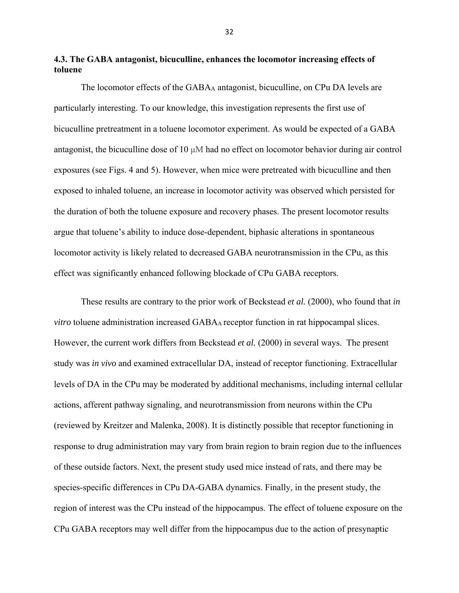**4.3. The GABA antagonist, bicuculline, enhances the locomotor increasing effects of toluene**

The locomotor effects of the GABAA antagonist, bicuculline, on CPu DA levels are particularly interesting. To our knowledge, this investigation represents the first use of bicuculline pretreatment in a toluene locomotor experiment. As would be expected of a GABA antagonist, the bicuculline dose of 10 μM had no effect on locomotor behavior during air control exposures (see Figs. 4 and 5). However, when mice were pretreated with bicuculline and then exposed to inhaled toluene, an increase in locomotor activity was observed which persisted for the duration of both the toluene exposure and recovery phases. The present locomotor results argue that toluene's ability to induce dose-dependent, biphasic alterations in spontaneous locomotor activity is likely related to decreased GABA neurotransmission in the CPu, as this effect was significantly enhanced following blockade of CPu GABA receptors.

These results are contrary to the prior work of Beckstead *et al.* (2000), who found that *in vitro* toluene administration increased GABAA receptor function in rat hippocampal slices. However, the current work differs from Beckstead *et al.* (2000) in several ways. The present study was *in vivo* and examined extracellular DA, instead of receptor functioning. Extracellular levels of DA in the CPu may be moderated by additional mechanisms, including internal cellular actions, afferent pathway signaling, and neurotransmission from neurons within the CPu (reviewed by Kreitzer and Malenka, 2008). It is distinctly possible that receptor functioning in response to drug administration may vary from brain region to brain region due to the influences of these outside factors. Next, the present study used mice instead of rats, and there may be species-specific differences in CPu DA-GABA dynamics. Finally, in the present study, the region of interest was the CPu instead of the hippocampus. The effect of toluene exposure on the CPu GABA receptors may well differ from the hippocampus due to the action of presynaptic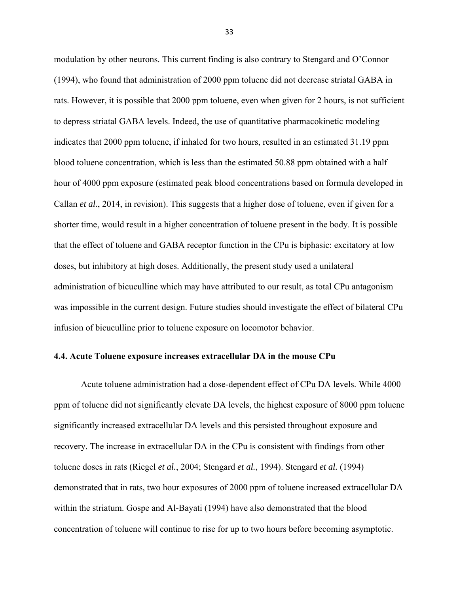modulation by other neurons. This current finding is also contrary to Stengard and O'Connor (1994), who found that administration of 2000 ppm toluene did not decrease striatal GABA in rats. However, it is possible that 2000 ppm toluene, even when given for 2 hours, is not sufficient to depress striatal GABA levels. Indeed, the use of quantitative pharmacokinetic modeling indicates that 2000 ppm toluene, if inhaled for two hours, resulted in an estimated 31.19 ppm blood toluene concentration, which is less than the estimated 50.88 ppm obtained with a half hour of 4000 ppm exposure (estimated peak blood concentrations based on formula developed in Callan *et al.*, 2014, in revision). This suggests that a higher dose of toluene, even if given for a shorter time, would result in a higher concentration of toluene present in the body. It is possible that the effect of toluene and GABA receptor function in the CPu is biphasic: excitatory at low doses, but inhibitory at high doses. Additionally, the present study used a unilateral administration of bicuculline which may have attributed to our result, as total CPu antagonism was impossible in the current design. Future studies should investigate the effect of bilateral CPu infusion of bicuculline prior to toluene exposure on locomotor behavior.

#### **4.4. Acute Toluene exposure increases extracellular DA in the mouse CPu**

 Acute toluene administration had a dose-dependent effect of CPu DA levels. While 4000 ppm of toluene did not significantly elevate DA levels, the highest exposure of 8000 ppm toluene significantly increased extracellular DA levels and this persisted throughout exposure and recovery. The increase in extracellular DA in the CPu is consistent with findings from other toluene doses in rats (Riegel *et al.*, 2004; Stengard *et al.*, 1994). Stengard *et al.* (1994) demonstrated that in rats, two hour exposures of 2000 ppm of toluene increased extracellular DA within the striatum. Gospe and Al-Bayati (1994) have also demonstrated that the blood concentration of toluene will continue to rise for up to two hours before becoming asymptotic.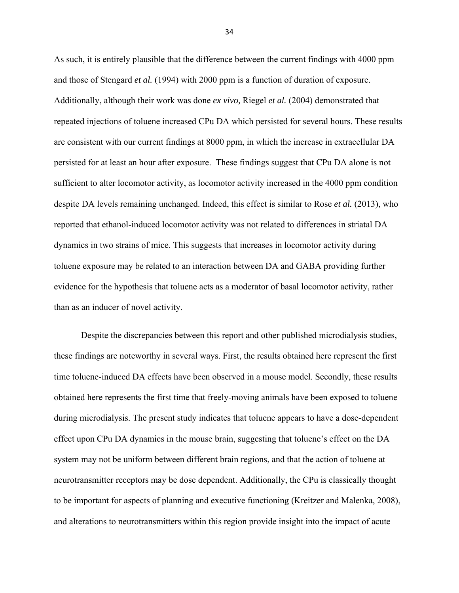As such, it is entirely plausible that the difference between the current findings with 4000 ppm and those of Stengard *et al.* (1994) with 2000 ppm is a function of duration of exposure. Additionally, although their work was done *ex vivo,* Riegel *et al.* (2004) demonstrated that repeated injections of toluene increased CPu DA which persisted for several hours. These results are consistent with our current findings at 8000 ppm, in which the increase in extracellular DA persisted for at least an hour after exposure. These findings suggest that CPu DA alone is not sufficient to alter locomotor activity, as locomotor activity increased in the 4000 ppm condition despite DA levels remaining unchanged. Indeed, this effect is similar to Rose *et al.* (2013), who reported that ethanol-induced locomotor activity was not related to differences in striatal DA dynamics in two strains of mice. This suggests that increases in locomotor activity during toluene exposure may be related to an interaction between DA and GABA providing further evidence for the hypothesis that toluene acts as a moderator of basal locomotor activity, rather than as an inducer of novel activity.

 Despite the discrepancies between this report and other published microdialysis studies, these findings are noteworthy in several ways. First, the results obtained here represent the first time toluene-induced DA effects have been observed in a mouse model. Secondly, these results obtained here represents the first time that freely-moving animals have been exposed to toluene during microdialysis. The present study indicates that toluene appears to have a dose-dependent effect upon CPu DA dynamics in the mouse brain, suggesting that toluene's effect on the DA system may not be uniform between different brain regions, and that the action of toluene at neurotransmitter receptors may be dose dependent. Additionally, the CPu is classically thought to be important for aspects of planning and executive functioning (Kreitzer and Malenka, 2008), and alterations to neurotransmitters within this region provide insight into the impact of acute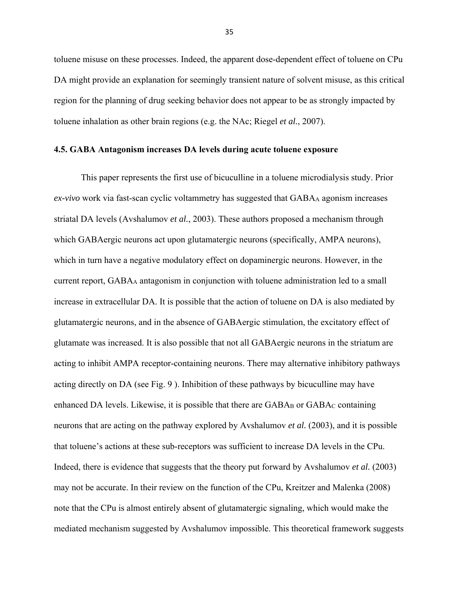toluene misuse on these processes. Indeed, the apparent dose-dependent effect of toluene on CPu DA might provide an explanation for seemingly transient nature of solvent misuse, as this critical region for the planning of drug seeking behavior does not appear to be as strongly impacted by toluene inhalation as other brain regions (e.g. the NAc; Riegel *et al.*, 2007).

#### **4.5. GABA Antagonism increases DA levels during acute toluene exposure**

 This paper represents the first use of bicuculline in a toluene microdialysis study. Prior *ex-vivo* work via fast-scan cyclic voltammetry has suggested that GABAA agonism increases striatal DA levels (Avshalumov *et al.*, 2003). These authors proposed a mechanism through which GABAergic neurons act upon glutamatergic neurons (specifically, AMPA neurons), which in turn have a negative modulatory effect on dopaminergic neurons. However, in the current report, GABAA antagonism in conjunction with toluene administration led to a small increase in extracellular DA. It is possible that the action of toluene on DA is also mediated by glutamatergic neurons, and in the absence of GABAergic stimulation, the excitatory effect of glutamate was increased. It is also possible that not all GABAergic neurons in the striatum are acting to inhibit AMPA receptor-containing neurons. There may alternative inhibitory pathways acting directly on DA (see Fig. 9 ). Inhibition of these pathways by bicuculline may have enhanced DA levels. Likewise, it is possible that there are  $GABA_B$  or  $GABA_C$  containing neurons that are acting on the pathway explored by Avshalumov *et al.* (2003), and it is possible that toluene's actions at these sub-receptors was sufficient to increase DA levels in the CPu. Indeed, there is evidence that suggests that the theory put forward by Avshalumov *et al.* (2003) may not be accurate. In their review on the function of the CPu, Kreitzer and Malenka (2008) note that the CPu is almost entirely absent of glutamatergic signaling, which would make the mediated mechanism suggested by Avshalumov impossible. This theoretical framework suggests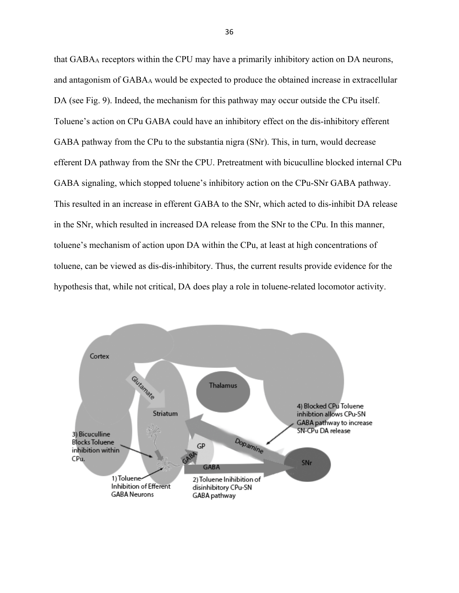that GABAA receptors within the CPU may have a primarily inhibitory action on DA neurons, and antagonism of GABAA would be expected to produce the obtained increase in extracellular DA (see Fig. 9). Indeed, the mechanism for this pathway may occur outside the CPu itself. Toluene's action on CPu GABA could have an inhibitory effect on the dis-inhibitory efferent GABA pathway from the CPu to the substantia nigra (SNr). This, in turn, would decrease efferent DA pathway from the SNr the CPU. Pretreatment with bicuculline blocked internal CPu GABA signaling, which stopped toluene's inhibitory action on the CPu-SNr GABA pathway. This resulted in an increase in efferent GABA to the SNr, which acted to dis-inhibit DA release in the SNr, which resulted in increased DA release from the SNr to the CPu. In this manner, toluene's mechanism of action upon DA within the CPu, at least at high concentrations of toluene, can be viewed as dis-dis-inhibitory. Thus, the current results provide evidence for the hypothesis that, while not critical, DA does play a role in toluene-related locomotor activity.

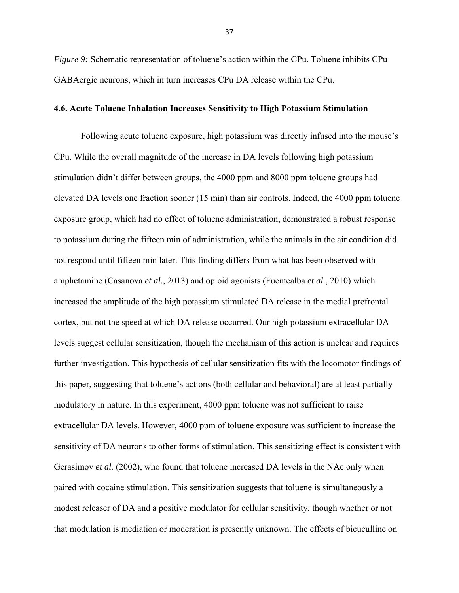*Figure 9:* Schematic representation of toluene's action within the CPu. Toluene inhibits CPu GABAergic neurons, which in turn increases CPu DA release within the CPu.

#### **4.6. Acute Toluene Inhalation Increases Sensitivity to High Potassium Stimulation**

 Following acute toluene exposure, high potassium was directly infused into the mouse's CPu. While the overall magnitude of the increase in DA levels following high potassium stimulation didn't differ between groups, the 4000 ppm and 8000 ppm toluene groups had elevated DA levels one fraction sooner (15 min) than air controls. Indeed, the 4000 ppm toluene exposure group, which had no effect of toluene administration, demonstrated a robust response to potassium during the fifteen min of administration, while the animals in the air condition did not respond until fifteen min later. This finding differs from what has been observed with amphetamine (Casanova *et al.*, 2013) and opioid agonists (Fuentealba *et al.*, 2010) which increased the amplitude of the high potassium stimulated DA release in the medial prefrontal cortex, but not the speed at which DA release occurred. Our high potassium extracellular DA levels suggest cellular sensitization, though the mechanism of this action is unclear and requires further investigation. This hypothesis of cellular sensitization fits with the locomotor findings of this paper, suggesting that toluene's actions (both cellular and behavioral) are at least partially modulatory in nature. In this experiment, 4000 ppm toluene was not sufficient to raise extracellular DA levels. However, 4000 ppm of toluene exposure was sufficient to increase the sensitivity of DA neurons to other forms of stimulation. This sensitizing effect is consistent with Gerasimov *et al.* (2002), who found that toluene increased DA levels in the NAc only when paired with cocaine stimulation. This sensitization suggests that toluene is simultaneously a modest releaser of DA and a positive modulator for cellular sensitivity, though whether or not that modulation is mediation or moderation is presently unknown. The effects of bicuculline on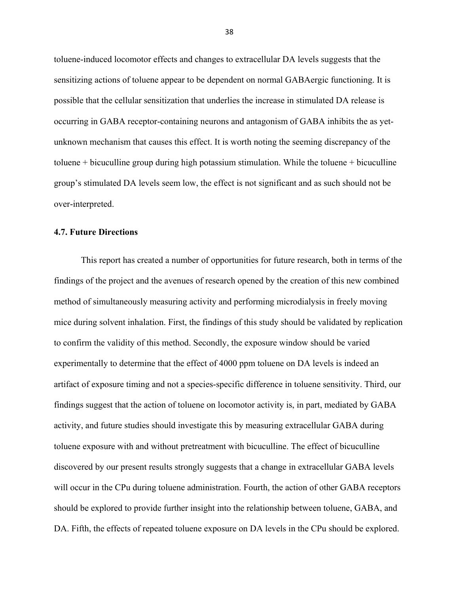toluene-induced locomotor effects and changes to extracellular DA levels suggests that the sensitizing actions of toluene appear to be dependent on normal GABAergic functioning. It is possible that the cellular sensitization that underlies the increase in stimulated DA release is occurring in GABA receptor-containing neurons and antagonism of GABA inhibits the as yetunknown mechanism that causes this effect. It is worth noting the seeming discrepancy of the toluene + bicuculline group during high potassium stimulation. While the toluene + bicuculline group's stimulated DA levels seem low, the effect is not significant and as such should not be over-interpreted.

#### **4.7. Future Directions**

 This report has created a number of opportunities for future research, both in terms of the findings of the project and the avenues of research opened by the creation of this new combined method of simultaneously measuring activity and performing microdialysis in freely moving mice during solvent inhalation. First, the findings of this study should be validated by replication to confirm the validity of this method. Secondly, the exposure window should be varied experimentally to determine that the effect of 4000 ppm toluene on DA levels is indeed an artifact of exposure timing and not a species-specific difference in toluene sensitivity. Third, our findings suggest that the action of toluene on locomotor activity is, in part, mediated by GABA activity, and future studies should investigate this by measuring extracellular GABA during toluene exposure with and without pretreatment with bicuculline. The effect of bicuculline discovered by our present results strongly suggests that a change in extracellular GABA levels will occur in the CPu during toluene administration. Fourth, the action of other GABA receptors should be explored to provide further insight into the relationship between toluene, GABA, and DA. Fifth, the effects of repeated toluene exposure on DA levels in the CPu should be explored.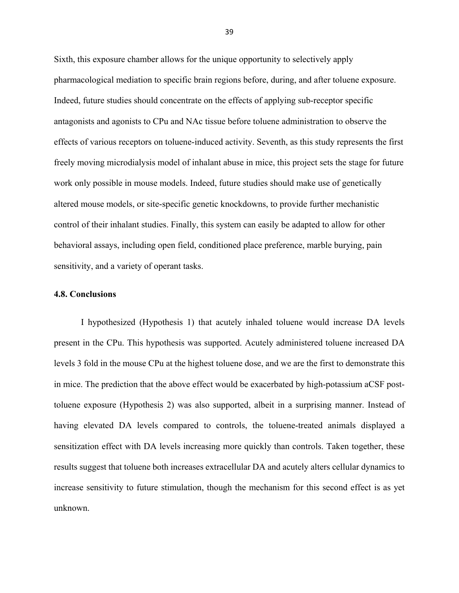Sixth, this exposure chamber allows for the unique opportunity to selectively apply pharmacological mediation to specific brain regions before, during, and after toluene exposure. Indeed, future studies should concentrate on the effects of applying sub-receptor specific antagonists and agonists to CPu and NAc tissue before toluene administration to observe the effects of various receptors on toluene-induced activity. Seventh, as this study represents the first freely moving microdialysis model of inhalant abuse in mice, this project sets the stage for future work only possible in mouse models. Indeed, future studies should make use of genetically altered mouse models, or site-specific genetic knockdowns, to provide further mechanistic control of their inhalant studies. Finally, this system can easily be adapted to allow for other behavioral assays, including open field, conditioned place preference, marble burying, pain sensitivity, and a variety of operant tasks.

#### **4.8. Conclusions**

I hypothesized (Hypothesis 1) that acutely inhaled toluene would increase DA levels present in the CPu. This hypothesis was supported. Acutely administered toluene increased DA levels 3 fold in the mouse CPu at the highest toluene dose, and we are the first to demonstrate this in mice. The prediction that the above effect would be exacerbated by high-potassium aCSF posttoluene exposure (Hypothesis 2) was also supported, albeit in a surprising manner. Instead of having elevated DA levels compared to controls, the toluene-treated animals displayed a sensitization effect with DA levels increasing more quickly than controls. Taken together, these results suggest that toluene both increases extracellular DA and acutely alters cellular dynamics to increase sensitivity to future stimulation, though the mechanism for this second effect is as yet unknown.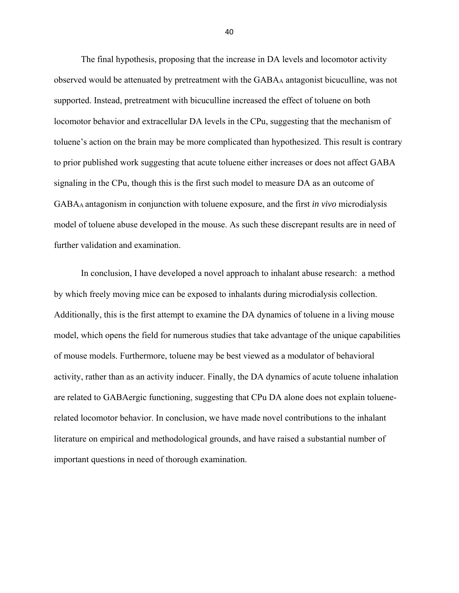The final hypothesis, proposing that the increase in DA levels and locomotor activity observed would be attenuated by pretreatment with the GABAA antagonist bicuculline, was not supported. Instead, pretreatment with bicuculline increased the effect of toluene on both locomotor behavior and extracellular DA levels in the CPu, suggesting that the mechanism of toluene's action on the brain may be more complicated than hypothesized. This result is contrary to prior published work suggesting that acute toluene either increases or does not affect GABA signaling in the CPu, though this is the first such model to measure DA as an outcome of GABAA antagonism in conjunction with toluene exposure, and the first *in vivo* microdialysis model of toluene abuse developed in the mouse. As such these discrepant results are in need of further validation and examination.

In conclusion, I have developed a novel approach to inhalant abuse research: a method by which freely moving mice can be exposed to inhalants during microdialysis collection. Additionally, this is the first attempt to examine the DA dynamics of toluene in a living mouse model, which opens the field for numerous studies that take advantage of the unique capabilities of mouse models. Furthermore, toluene may be best viewed as a modulator of behavioral activity, rather than as an activity inducer. Finally, the DA dynamics of acute toluene inhalation are related to GABAergic functioning, suggesting that CPu DA alone does not explain toluenerelated locomotor behavior. In conclusion, we have made novel contributions to the inhalant literature on empirical and methodological grounds, and have raised a substantial number of important questions in need of thorough examination.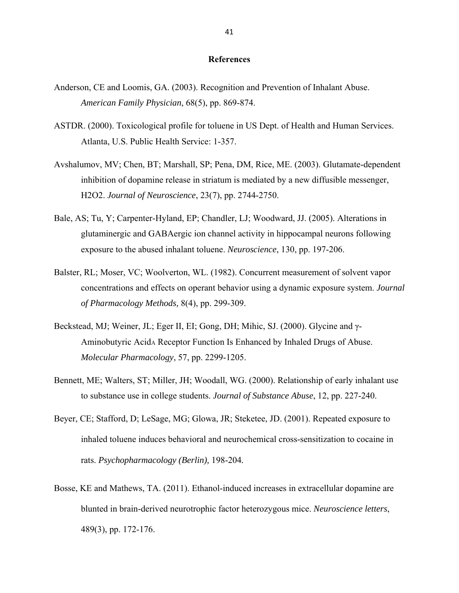#### **References**

- Anderson, CE and Loomis, GA. (2003). Recognition and Prevention of Inhalant Abuse. *American Family Physician*, 68(5), pp. 869-874.
- ASTDR. (2000). Toxicological profile for toluene in US Dept. of Health and Human Services. Atlanta, U.S. Public Health Service: 1-357.
- Avshalumov, MV; Chen, BT; Marshall, SP; Pena, DM, Rice, ME. (2003). Glutamate-dependent inhibition of dopamine release in striatum is mediated by a new diffusible messenger, H2O2. *Journal of Neuroscience*, 23(7), pp. 2744-2750.
- Bale, AS; Tu, Y; Carpenter-Hyland, EP; Chandler, LJ; Woodward, JJ. (2005). Alterations in glutaminergic and GABAergic ion channel activity in hippocampal neurons following exposure to the abused inhalant toluene. *Neuroscience*, 130, pp. 197-206.
- Balster, RL; Moser, VC; Woolverton, WL. (1982). Concurrent measurement of solvent vapor concentrations and effects on operant behavior using a dynamic exposure system. *Journal of Pharmacology Methods,* 8(4), pp. 299-309.
- Beckstead, MJ; Weiner, JL; Eger II, EI; Gong, DH; Mihic, SJ. (2000). Glycine and γ-Aminobutyric Acid<sub>A</sub> Receptor Function Is Enhanced by Inhaled Drugs of Abuse. *Molecular Pharmacology*, 57, pp. 2299-1205.
- Bennett, ME; Walters, ST; Miller, JH; Woodall, WG. (2000). Relationship of early inhalant use to substance use in college students. *Journal of Substance Abuse*, 12, pp. 227-240.
- Beyer, CE; Stafford, D; LeSage, MG; Glowa, JR; Steketee, JD. (2001). Repeated exposure to inhaled toluene induces behavioral and neurochemical cross-sensitization to cocaine in rats. *Psychopharmacology (Berlin),* 198-204*.*
- Bosse, KE and Mathews, TA. (2011). Ethanol-induced increases in extracellular dopamine are blunted in brain-derived neurotrophic factor heterozygous mice. *Neuroscience letters*, 489(3), pp. 172-176.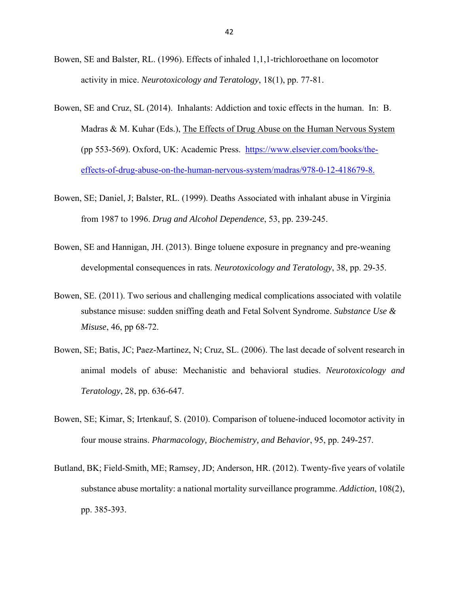- Bowen, SE and Balster, RL. (1996). Effects of inhaled 1,1,1-trichloroethane on locomotor activity in mice. *Neurotoxicology and Teratology*, 18(1), pp. 77-81.
- Bowen, SE and Cruz, SL (2014). Inhalants: Addiction and toxic effects in the human. In: B. Madras  $\& M.$  Kuhar (Eds.), The Effects of Drug Abuse on the Human Nervous System (pp 553-569). Oxford, UK: Academic Press. https://www.elsevier.com/books/theeffects-of-drug-abuse-on-the-human-nervous-system/madras/978-0-12-418679-8.
- Bowen, SE; Daniel, J; Balster, RL. (1999). Deaths Associated with inhalant abuse in Virginia from 1987 to 1996. *Drug and Alcohol Dependence*, 53, pp. 239-245.
- Bowen, SE and Hannigan, JH. (2013). Binge toluene exposure in pregnancy and pre-weaning developmental consequences in rats. *Neurotoxicology and Teratology*, 38, pp. 29-35.
- Bowen, SE. (2011). Two serious and challenging medical complications associated with volatile substance misuse: sudden sniffing death and Fetal Solvent Syndrome. *Substance Use & Misuse*, 46, pp 68-72.
- Bowen, SE; Batis, JC; Paez-Martinez, N; Cruz, SL. (2006). The last decade of solvent research in animal models of abuse: Mechanistic and behavioral studies. *Neurotoxicology and Teratology*, 28, pp. 636-647.
- Bowen, SE; Kimar, S; Irtenkauf, S. (2010). Comparison of toluene-induced locomotor activity in four mouse strains. *Pharmacology, Biochemistry, and Behavior*, 95, pp. 249-257.
- Butland, BK; Field-Smith, ME; Ramsey, JD; Anderson, HR. (2012). Twenty-five years of volatile substance abuse mortality: a national mortality surveillance programme. *Addiction*, 108(2), pp. 385-393.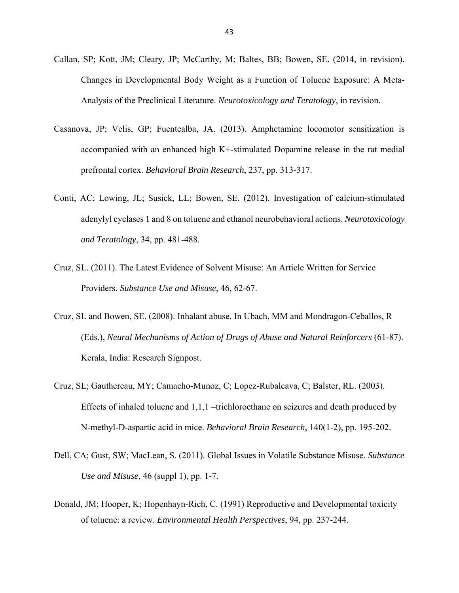- Callan, SP; Kott, JM; Cleary, JP; McCarthy, M; Baltes, BB; Bowen, SE. (2014, in revision). Changes in Developmental Body Weight as a Function of Toluene Exposure: A Meta-Analysis of the Preclinical Literature. *Neurotoxicology and Teratology*, in revision.
- Casanova, JP; Velis, GP; Fuentealba, JA. (2013). Amphetamine locomotor sensitization is accompanied with an enhanced high K+-stimulated Dopamine release in the rat medial prefrontal cortex. *Behavioral Brain Research*, 237, pp. 313-317.
- Conti, AC; Lowing, JL; Susick, LL; Bowen, SE. (2012). Investigation of calcium-stimulated adenylyl cyclases 1 and 8 on toluene and ethanol neurobehavioral actions. *Neurotoxicology and Teratology*, 34, pp. 481-488.
- Cruz, SL. (2011). The Latest Evidence of Solvent Misuse: An Article Written for Service Providers. *Substance Use and Misuse*, 46, 62-67.
- Cruz, SL and Bowen, SE. (2008). Inhalant abuse. In Ubach, MM and Mondragon-Ceballos, R (Eds.), *Neural Mechanisms of Action of Drugs of Abuse and Natural Reinforcers* (61-87). Kerala, India: Research Signpost.
- Cruz, SL; Gauthereau, MY; Camacho-Munoz, C; Lopez-Rubalcava, C; Balster, RL. (2003). Effects of inhaled toluene and 1,1,1 –trichloroethane on seizures and death produced by N-methyl-D-aspartic acid in mice. *Behavioral Brain Research*, 140(1-2), pp. 195-202.
- Dell, CA; Gust, SW; MacLean, S. (2011). Global Issues in Volatile Substance Misuse. *Substance Use and Misuse*, 46 (suppl 1), pp. 1-7.
- Donald, JM; Hooper, K; Hopenhayn-Rich, C. (1991) Reproductive and Developmental toxicity of toluene: a review. *Environmental Health Perspectives*, 94, pp. 237-244.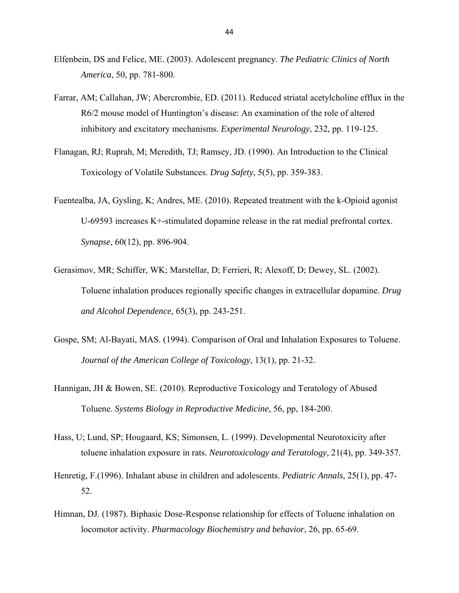- Elfenbein, DS and Felice, ME. (2003). Adolescent pregnancy. *The Pediatric Clinics of North America*, 50, pp. 781-800.
- Farrar, AM; Callahan, JW; Abercrombie, ED. (2011). Reduced striatal acetylcholine efflux in the R6/2 mouse model of Huntington's disease: An examination of the role of altered inhibitory and excitatory mechanisms. *Experimental Neurology*, 232, pp. 119-125.
- Flanagan, RJ; Ruprah, M; Meredith, TJ; Ramsey, JD. (1990). An Introduction to the Clinical Toxicology of Volatile Substances. *Drug Safety*, 5(5), pp. 359-383.
- Fuentealba, JA, Gysling, K; Andres, ME. (2010). Repeated treatment with the k-Opioid agonist U-69593 increases K+-stimulated dopamine release in the rat medial prefrontal cortex. *Synapse*, 60(12), pp. 896-904.
- Gerasimov, MR; Schiffer, WK; Marstellar, D; Ferrieri, R; Alexoff, D; Dewey, SL. (2002). Toluene inhalation produces regionally specific changes in extracellular dopamine. *Drug and Alcohol Dependence*, 65(3), pp. 243-251.
- Gospe, SM; Al-Bayati, MAS. (1994). Comparison of Oral and Inhalation Exposures to Toluene. *Journal of the American College of Toxicology*, 13(1), pp. 21-32.
- Hannigan, JH & Bowen, SE. (2010). Reproductive Toxicology and Teratology of Abused Toluene. *Systems Biology in Reproductive Medicine*, 56, pp, 184-200.
- Hass, U; Lund, SP; Hougaard, KS; Simonsen, L. (1999). Developmental Neurotoxicity after toluene inhalation exposure in rats. *Neurotoxicology and Teratology,* 21(4), pp. 349-357.
- Henretig, F.(1996). Inhalant abuse in children and adolescents. *Pediatric Annals*, 25(1), pp. 47- 52.
- Himnan, DJ. (1987). Biphasic Dose-Response relationship for effects of Toluene inhalation on locomotor activity. *Pharmacology Biochemistry and behavior*, 26, pp. 65-69.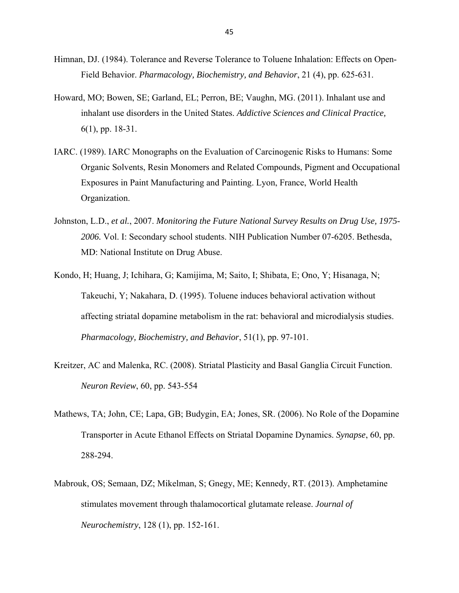- Himnan, DJ. (1984). Tolerance and Reverse Tolerance to Toluene Inhalation: Effects on Open-Field Behavior. *Pharmacology, Biochemistry, and Behavior*, 21 (4), pp. 625-631.
- Howard, MO; Bowen, SE; Garland, EL; Perron, BE; Vaughn, MG. (2011). Inhalant use and inhalant use disorders in the United States. *Addictive Sciences and Clinical Practice,* 6(1), pp. 18-31.
- IARC. (1989). IARC Monographs on the Evaluation of Carcinogenic Risks to Humans: Some Organic Solvents, Resin Monomers and Related Compounds, Pigment and Occupational Exposures in Paint Manufacturing and Painting. Lyon, France, World Health Organization.
- Johnston, L.D., *et al.*, 2007. *Monitoring the Future National Survey Results on Drug Use, 1975- 2006.* Vol. I: Secondary school students. NIH Publication Number 07-6205. Bethesda, MD: National Institute on Drug Abuse.
- Kondo, H; Huang, J; Ichihara, G; Kamijima, M; Saito, I; Shibata, E; Ono, Y; Hisanaga, N; Takeuchi, Y; Nakahara, D. (1995). Toluene induces behavioral activation without affecting striatal dopamine metabolism in the rat: behavioral and microdialysis studies. *Pharmacology, Biochemistry, and Behavior*, 51(1), pp. 97-101.
- Kreitzer, AC and Malenka, RC. (2008). Striatal Plasticity and Basal Ganglia Circuit Function. *Neuron Review*, 60, pp. 543-554
- Mathews, TA; John, CE; Lapa, GB; Budygin, EA; Jones, SR. (2006). No Role of the Dopamine Transporter in Acute Ethanol Effects on Striatal Dopamine Dynamics. *Synapse*, 60, pp. 288-294.
- Mabrouk, OS; Semaan, DZ; Mikelman, S; Gnegy, ME; Kennedy, RT. (2013). Amphetamine stimulates movement through thalamocortical glutamate release. *Journal of Neurochemistry*, 128 (1), pp. 152-161.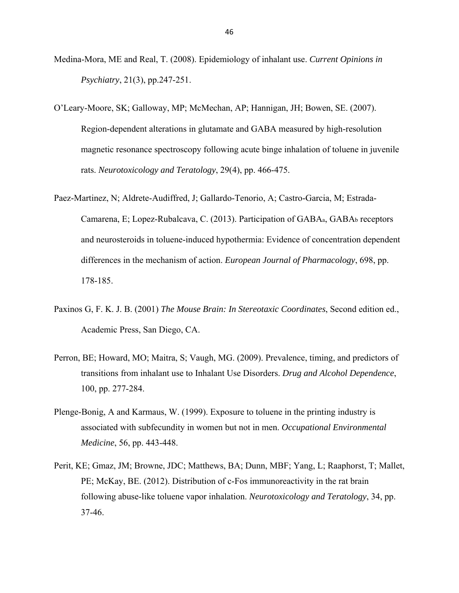- Medina-Mora, ME and Real, T. (2008). Epidemiology of inhalant use. *Current Opinions in Psychiatry*, 21(3), pp.247-251.
- O'Leary-Moore, SK; Galloway, MP; McMechan, AP; Hannigan, JH; Bowen, SE. (2007). Region-dependent alterations in glutamate and GABA measured by high-resolution magnetic resonance spectroscopy following acute binge inhalation of toluene in juvenile rats. *Neurotoxicology and Teratology*, 29(4), pp. 466-475.
- Paez-Martinez, N; Aldrete-Audiffred, J; Gallardo-Tenorio, A; Castro-Garcia, M; Estrada-Camarena, E; Lopez-Rubalcava, C. (2013). Participation of GABAa, GABAb receptors and neurosteroids in toluene-induced hypothermia: Evidence of concentration dependent differences in the mechanism of action. *European Journal of Pharmacology*, 698, pp. 178-185.
- Paxinos G, F. K. J. B. (2001) *The Mouse Brain: In Stereotaxic Coordinates*, Second edition ed., Academic Press, San Diego, CA.
- Perron, BE; Howard, MO; Maitra, S; Vaugh, MG. (2009). Prevalence, timing, and predictors of transitions from inhalant use to Inhalant Use Disorders. *Drug and Alcohol Dependence*, 100, pp. 277-284.
- Plenge-Bonig, A and Karmaus, W. (1999). Exposure to toluene in the printing industry is associated with subfecundity in women but not in men. *Occupational Environmental Medicine*, 56, pp. 443-448.
- Perit, KE; Gmaz, JM; Browne, JDC; Matthews, BA; Dunn, MBF; Yang, L; Raaphorst, T; Mallet, PE; McKay, BE. (2012). Distribution of c-Fos immunoreactivity in the rat brain following abuse-like toluene vapor inhalation. *Neurotoxicology and Teratology*, 34, pp. 37-46.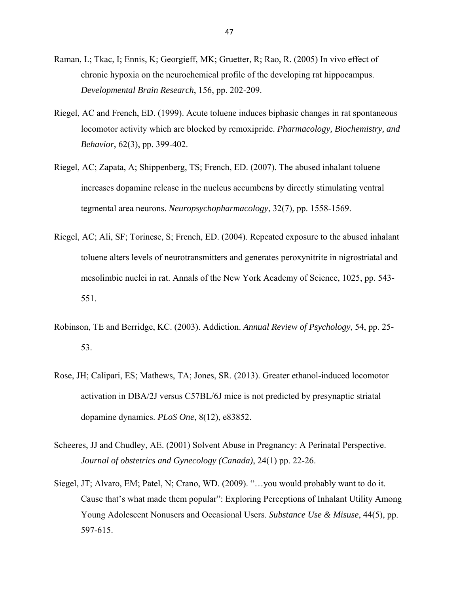- Raman, L; Tkac, I; Ennis, K; Georgieff, MK; Gruetter, R; Rao, R. (2005) In vivo effect of chronic hypoxia on the neurochemical profile of the developing rat hippocampus. *Developmental Brain Research*, 156, pp. 202-209.
- Riegel, AC and French, ED. (1999). Acute toluene induces biphasic changes in rat spontaneous locomotor activity which are blocked by remoxipride. *Pharmacology, Biochemistry, and Behavior*, 62(3), pp. 399-402.
- Riegel, AC; Zapata, A; Shippenberg, TS; French, ED. (2007). The abused inhalant toluene increases dopamine release in the nucleus accumbens by directly stimulating ventral tegmental area neurons. *Neuropsychopharmacology*, 32(7), pp. 1558-1569.
- Riegel, AC; Ali, SF; Torinese, S; French, ED. (2004). Repeated exposure to the abused inhalant toluene alters levels of neurotransmitters and generates peroxynitrite in nigrostriatal and mesolimbic nuclei in rat. Annals of the New York Academy of Science, 1025, pp. 543- 551.
- Robinson, TE and Berridge, KC. (2003). Addiction. *Annual Review of Psychology*, 54, pp. 25- 53.
- Rose, JH; Calipari, ES; Mathews, TA; Jones, SR. (2013). Greater ethanol-induced locomotor activation in DBA/2J versus C57BL/6J mice is not predicted by presynaptic striatal dopamine dynamics. *PLoS One*, 8(12), e83852.
- Scheeres, JJ and Chudley, AE. (2001) Solvent Abuse in Pregnancy: A Perinatal Perspective. *Journal of obstetrics and Gynecology (Canada)*, 24(1) pp. 22-26.
- Siegel, JT; Alvaro, EM; Patel, N; Crano, WD. (2009). "…you would probably want to do it. Cause that's what made them popular": Exploring Perceptions of Inhalant Utility Among Young Adolescent Nonusers and Occasional Users. *Substance Use & Misuse*, 44(5), pp. 597-615.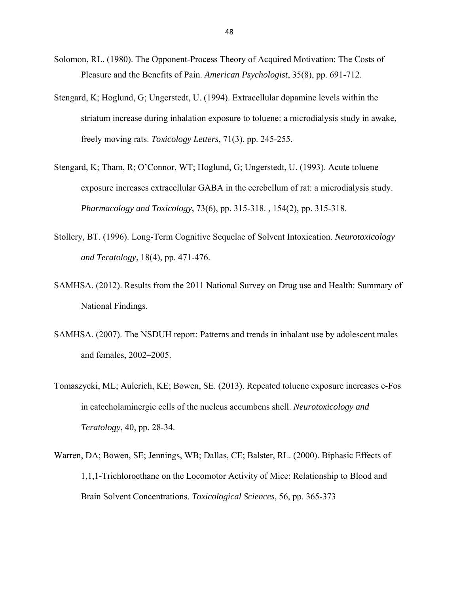- Solomon, RL. (1980). The Opponent-Process Theory of Acquired Motivation: The Costs of Pleasure and the Benefits of Pain. *American Psychologist*, 35(8), pp. 691-712.
- Stengard, K; Hoglund, G; Ungerstedt, U. (1994). Extracellular dopamine levels within the striatum increase during inhalation exposure to toluene: a microdialysis study in awake, freely moving rats. *Toxicology Letters*, 71(3), pp. 245-255.
- Stengard, K; Tham, R; O'Connor, WT; Hoglund, G; Ungerstedt, U. (1993). Acute toluene exposure increases extracellular GABA in the cerebellum of rat: a microdialysis study. *Pharmacology and Toxicology*, 73(6), pp. 315-318. , 154(2), pp. 315-318.
- Stollery, BT. (1996). Long-Term Cognitive Sequelae of Solvent Intoxication. *Neurotoxicology and Teratology*, 18(4), pp. 471-476.
- SAMHSA. (2012). Results from the 2011 National Survey on Drug use and Health: Summary of National Findings.
- SAMHSA. (2007). The NSDUH report: Patterns and trends in inhalant use by adolescent males and females, 2002–2005.
- Tomaszycki, ML; Aulerich, KE; Bowen, SE. (2013). Repeated toluene exposure increases c-Fos in catecholaminergic cells of the nucleus accumbens shell. *Neurotoxicology and Teratology*, 40, pp. 28-34.
- Warren, DA; Bowen, SE; Jennings, WB; Dallas, CE; Balster, RL. (2000). Biphasic Effects of 1,1,1-Trichloroethane on the Locomotor Activity of Mice: Relationship to Blood and Brain Solvent Concentrations. *Toxicological Sciences*, 56, pp. 365-373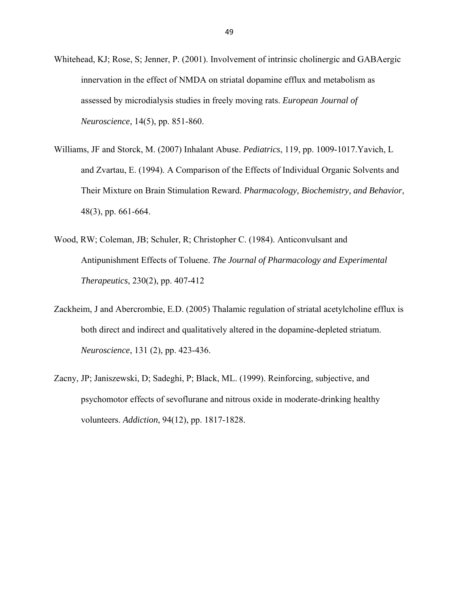- Whitehead, KJ; Rose, S; Jenner, P. (2001). Involvement of intrinsic cholinergic and GABAergic innervation in the effect of NMDA on striatal dopamine efflux and metabolism as assessed by microdialysis studies in freely moving rats. *European Journal of Neuroscience*, 14(5), pp. 851-860.
- Williams, JF and Storck, M. (2007) Inhalant Abuse. *Pediatrics*, 119, pp. 1009-1017.Yavich, L and Zvartau, E. (1994). A Comparison of the Effects of Individual Organic Solvents and Their Mixture on Brain Stimulation Reward. *Pharmacology, Biochemistry, and Behavior*, 48(3), pp. 661-664.
- Wood, RW; Coleman, JB; Schuler, R; Christopher C. (1984). Anticonvulsant and Antipunishment Effects of Toluene. *The Journal of Pharmacology and Experimental Therapeutics*, 230(2), pp. 407-412
- Zackheim, J and Abercrombie, E.D. (2005) Thalamic regulation of striatal acetylcholine efflux is both direct and indirect and qualitatively altered in the dopamine-depleted striatum. *Neuroscience*, 131 (2), pp. 423-436.
- Zacny, JP; Janiszewski, D; Sadeghi, P; Black, ML. (1999). Reinforcing, subjective, and psychomotor effects of sevoflurane and nitrous oxide in moderate-drinking healthy volunteers. *Addiction*, 94(12), pp. 1817-1828.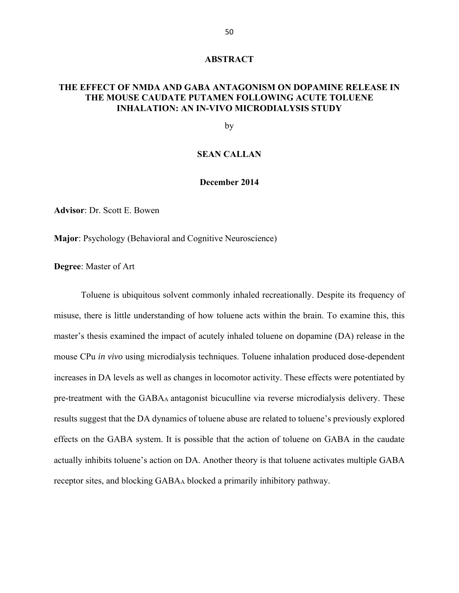#### **ABSTRACT**

# **THE EFFECT OF NMDA AND GABA ANTAGONISM ON DOPAMINE RELEASE IN THE MOUSE CAUDATE PUTAMEN FOLLOWING ACUTE TOLUENE INHALATION: AN IN-VIVO MICRODIALYSIS STUDY**

by

#### **SEAN CALLAN**

#### **December 2014**

**Advisor**: Dr. Scott E. Bowen

**Major**: Psychology (Behavioral and Cognitive Neuroscience)

**Degree**: Master of Art

Toluene is ubiquitous solvent commonly inhaled recreationally. Despite its frequency of misuse, there is little understanding of how toluene acts within the brain. To examine this, this master's thesis examined the impact of acutely inhaled toluene on dopamine (DA) release in the mouse CPu *in vivo* using microdialysis techniques. Toluene inhalation produced dose-dependent increases in DA levels as well as changes in locomotor activity. These effects were potentiated by pre-treatment with the GABAA antagonist bicuculline via reverse microdialysis delivery. These results suggest that the DA dynamics of toluene abuse are related to toluene's previously explored effects on the GABA system. It is possible that the action of toluene on GABA in the caudate actually inhibits toluene's action on DA. Another theory is that toluene activates multiple GABA receptor sites, and blocking GABAA blocked a primarily inhibitory pathway.